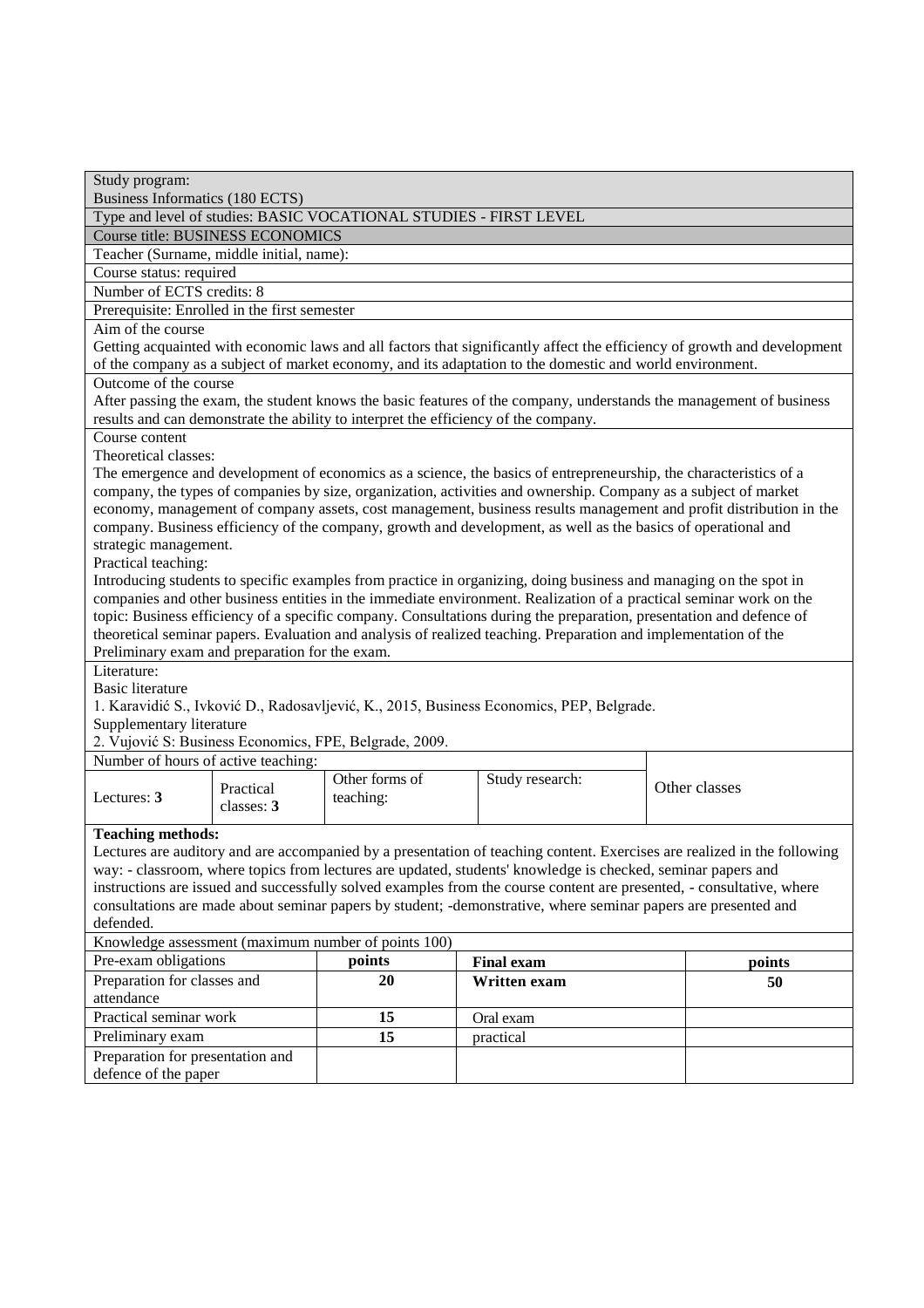| Study program:<br><b>Business Informatics (180 ECTS)</b>                                                                                                                                                                             |                |                   |               |  |  |
|--------------------------------------------------------------------------------------------------------------------------------------------------------------------------------------------------------------------------------------|----------------|-------------------|---------------|--|--|
| Type and level of studies: BASIC VOCATIONAL STUDIES - FIRST LEVEL                                                                                                                                                                    |                |                   |               |  |  |
| <b>Course title: BUSINESS ECONOMICS</b>                                                                                                                                                                                              |                |                   |               |  |  |
| Teacher (Surname, middle initial, name):                                                                                                                                                                                             |                |                   |               |  |  |
| Course status: required                                                                                                                                                                                                              |                |                   |               |  |  |
| Number of ECTS credits: 8                                                                                                                                                                                                            |                |                   |               |  |  |
| Prerequisite: Enrolled in the first semester                                                                                                                                                                                         |                |                   |               |  |  |
| Aim of the course                                                                                                                                                                                                                    |                |                   |               |  |  |
| Getting acquainted with economic laws and all factors that significantly affect the efficiency of growth and development<br>of the company as a subject of market economy, and its adaptation to the domestic and world environment. |                |                   |               |  |  |
| Outcome of the course                                                                                                                                                                                                                |                |                   |               |  |  |
|                                                                                                                                                                                                                                      |                |                   |               |  |  |
| After passing the exam, the student knows the basic features of the company, understands the management of business<br>results and can demonstrate the ability to interpret the efficiency of the company.                           |                |                   |               |  |  |
| Course content                                                                                                                                                                                                                       |                |                   |               |  |  |
| Theoretical classes:                                                                                                                                                                                                                 |                |                   |               |  |  |
| The emergence and development of economics as a science, the basics of entrepreneurship, the characteristics of a                                                                                                                    |                |                   |               |  |  |
| company, the types of companies by size, organization, activities and ownership. Company as a subject of market                                                                                                                      |                |                   |               |  |  |
| economy, management of company assets, cost management, business results management and profit distribution in the                                                                                                                   |                |                   |               |  |  |
| company. Business efficiency of the company, growth and development, as well as the basics of operational and                                                                                                                        |                |                   |               |  |  |
| strategic management.                                                                                                                                                                                                                |                |                   |               |  |  |
| Practical teaching:                                                                                                                                                                                                                  |                |                   |               |  |  |
| Introducing students to specific examples from practice in organizing, doing business and managing on the spot in                                                                                                                    |                |                   |               |  |  |
| companies and other business entities in the immediate environment. Realization of a practical seminar work on the                                                                                                                   |                |                   |               |  |  |
| topic: Business efficiency of a specific company. Consultations during the preparation, presentation and defence of                                                                                                                  |                |                   |               |  |  |
| theoretical seminar papers. Evaluation and analysis of realized teaching. Preparation and implementation of the                                                                                                                      |                |                   |               |  |  |
| Preliminary exam and preparation for the exam.                                                                                                                                                                                       |                |                   |               |  |  |
| Literature:                                                                                                                                                                                                                          |                |                   |               |  |  |
| <b>Basic literature</b>                                                                                                                                                                                                              |                |                   |               |  |  |
| 1. Karavidić S., Ivković D., Radosavljević, K., 2015, Business Economics, PEP, Belgrade.                                                                                                                                             |                |                   |               |  |  |
| Supplementary literature                                                                                                                                                                                                             |                |                   |               |  |  |
| 2. Vujović S: Business Economics, FPE, Belgrade, 2009.                                                                                                                                                                               |                |                   |               |  |  |
| Number of hours of active teaching:                                                                                                                                                                                                  |                |                   |               |  |  |
| Practical                                                                                                                                                                                                                            | Other forms of | Study research:   | Other classes |  |  |
| Lectures: 3<br>classes: 3                                                                                                                                                                                                            | teaching:      |                   |               |  |  |
|                                                                                                                                                                                                                                      |                |                   |               |  |  |
| <b>Teaching methods:</b>                                                                                                                                                                                                             |                |                   |               |  |  |
| Lectures are auditory and are accompanied by a presentation of teaching content. Exercises are realized in the following                                                                                                             |                |                   |               |  |  |
| way: - classroom, where topics from lectures are updated, students' knowledge is checked, seminar papers and                                                                                                                         |                |                   |               |  |  |
| instructions are issued and successfully solved examples from the course content are presented, - consultative, where                                                                                                                |                |                   |               |  |  |
| consultations are made about seminar papers by student; -demonstrative, where seminar papers are presented and                                                                                                                       |                |                   |               |  |  |
| defended.<br>Knowledge assessment (maximum number of points 100)                                                                                                                                                                     |                |                   |               |  |  |
|                                                                                                                                                                                                                                      |                |                   |               |  |  |
| Pre-exam obligations                                                                                                                                                                                                                 | points         | <b>Final exam</b> | points        |  |  |
| Preparation for classes and                                                                                                                                                                                                          | 20             | Written exam      | 50            |  |  |
| attendance                                                                                                                                                                                                                           |                |                   |               |  |  |
| Practical seminar work                                                                                                                                                                                                               | 15             | Oral exam         |               |  |  |
| Preliminary exam                                                                                                                                                                                                                     | 15             | practical         |               |  |  |
| Preparation for presentation and                                                                                                                                                                                                     |                |                   |               |  |  |
| defence of the paper                                                                                                                                                                                                                 |                |                   |               |  |  |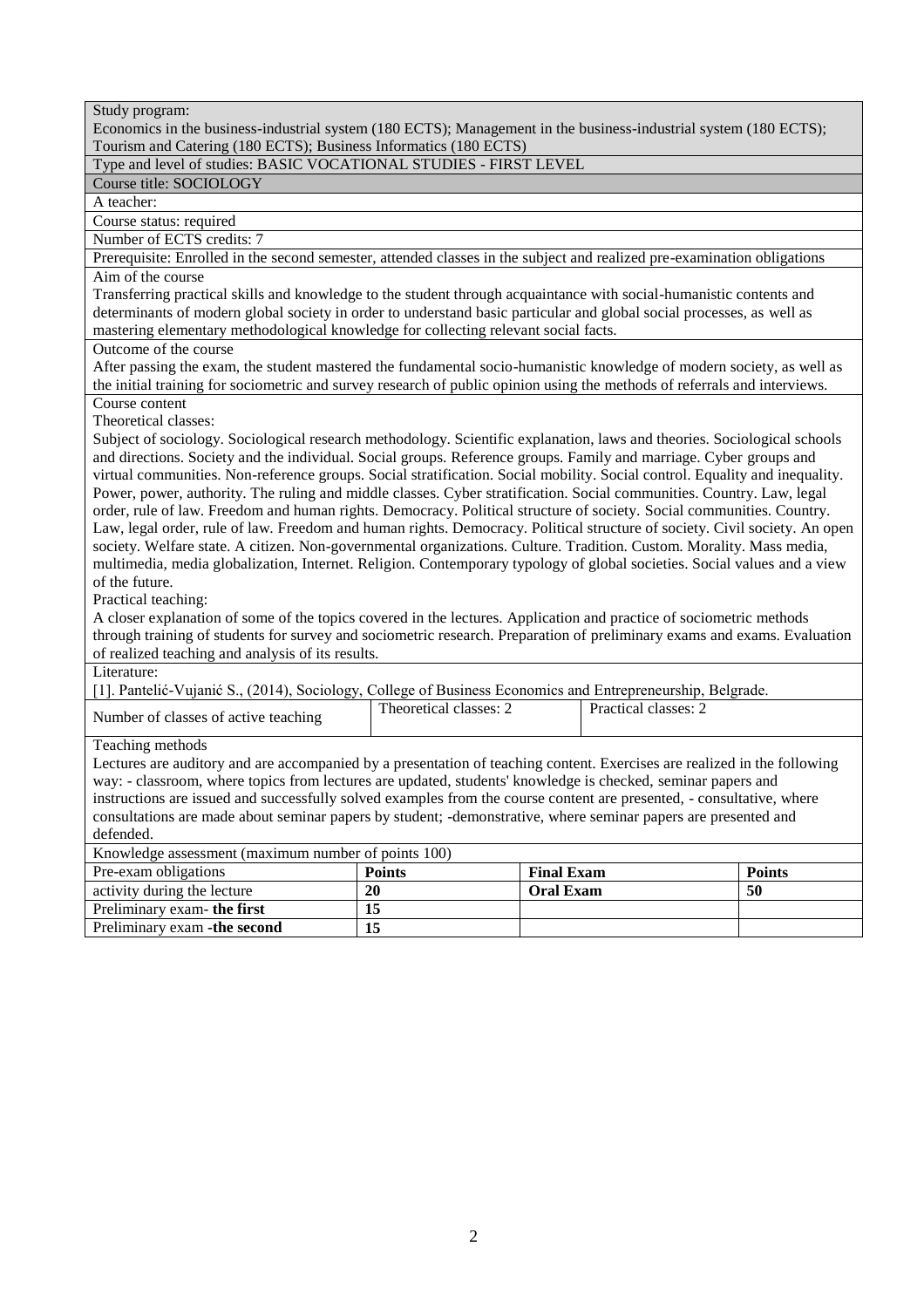| Economics in the business-industrial system (180 ECTS); Management in the business-industrial system (180 ECTS);<br>Tourism and Catering (180 ECTS); Business Informatics (180 ECTS)                                                                                                                                                                                                                                                                                                                                                                                                                                                                                                                                                                                                                                                                                                                                                                                                                                                                                                                                                                                                                                                                                                                                                                                              |                        |                   |                      |               |
|-----------------------------------------------------------------------------------------------------------------------------------------------------------------------------------------------------------------------------------------------------------------------------------------------------------------------------------------------------------------------------------------------------------------------------------------------------------------------------------------------------------------------------------------------------------------------------------------------------------------------------------------------------------------------------------------------------------------------------------------------------------------------------------------------------------------------------------------------------------------------------------------------------------------------------------------------------------------------------------------------------------------------------------------------------------------------------------------------------------------------------------------------------------------------------------------------------------------------------------------------------------------------------------------------------------------------------------------------------------------------------------|------------------------|-------------------|----------------------|---------------|
| Type and level of studies: BASIC VOCATIONAL STUDIES - FIRST LEVEL                                                                                                                                                                                                                                                                                                                                                                                                                                                                                                                                                                                                                                                                                                                                                                                                                                                                                                                                                                                                                                                                                                                                                                                                                                                                                                                 |                        |                   |                      |               |
| Course title: SOCIOLOGY                                                                                                                                                                                                                                                                                                                                                                                                                                                                                                                                                                                                                                                                                                                                                                                                                                                                                                                                                                                                                                                                                                                                                                                                                                                                                                                                                           |                        |                   |                      |               |
| A teacher:                                                                                                                                                                                                                                                                                                                                                                                                                                                                                                                                                                                                                                                                                                                                                                                                                                                                                                                                                                                                                                                                                                                                                                                                                                                                                                                                                                        |                        |                   |                      |               |
| Course status: required                                                                                                                                                                                                                                                                                                                                                                                                                                                                                                                                                                                                                                                                                                                                                                                                                                                                                                                                                                                                                                                                                                                                                                                                                                                                                                                                                           |                        |                   |                      |               |
| Number of ECTS credits: 7                                                                                                                                                                                                                                                                                                                                                                                                                                                                                                                                                                                                                                                                                                                                                                                                                                                                                                                                                                                                                                                                                                                                                                                                                                                                                                                                                         |                        |                   |                      |               |
| Prerequisite: Enrolled in the second semester, attended classes in the subject and realized pre-examination obligations                                                                                                                                                                                                                                                                                                                                                                                                                                                                                                                                                                                                                                                                                                                                                                                                                                                                                                                                                                                                                                                                                                                                                                                                                                                           |                        |                   |                      |               |
| Aim of the course                                                                                                                                                                                                                                                                                                                                                                                                                                                                                                                                                                                                                                                                                                                                                                                                                                                                                                                                                                                                                                                                                                                                                                                                                                                                                                                                                                 |                        |                   |                      |               |
| Transferring practical skills and knowledge to the student through acquaintance with social-humanistic contents and<br>determinants of modern global society in order to understand basic particular and global social processes, as well as<br>mastering elementary methodological knowledge for collecting relevant social facts.                                                                                                                                                                                                                                                                                                                                                                                                                                                                                                                                                                                                                                                                                                                                                                                                                                                                                                                                                                                                                                               |                        |                   |                      |               |
| Outcome of the course                                                                                                                                                                                                                                                                                                                                                                                                                                                                                                                                                                                                                                                                                                                                                                                                                                                                                                                                                                                                                                                                                                                                                                                                                                                                                                                                                             |                        |                   |                      |               |
| After passing the exam, the student mastered the fundamental socio-humanistic knowledge of modern society, as well as<br>the initial training for sociometric and survey research of public opinion using the methods of referrals and interviews.                                                                                                                                                                                                                                                                                                                                                                                                                                                                                                                                                                                                                                                                                                                                                                                                                                                                                                                                                                                                                                                                                                                                |                        |                   |                      |               |
| Course content                                                                                                                                                                                                                                                                                                                                                                                                                                                                                                                                                                                                                                                                                                                                                                                                                                                                                                                                                                                                                                                                                                                                                                                                                                                                                                                                                                    |                        |                   |                      |               |
| Theoretical classes:                                                                                                                                                                                                                                                                                                                                                                                                                                                                                                                                                                                                                                                                                                                                                                                                                                                                                                                                                                                                                                                                                                                                                                                                                                                                                                                                                              |                        |                   |                      |               |
| Subject of sociology. Sociological research methodology. Scientific explanation, laws and theories. Sociological schools<br>and directions. Society and the individual. Social groups. Reference groups. Family and marriage. Cyber groups and<br>virtual communities. Non-reference groups. Social stratification. Social mobility. Social control. Equality and inequality.<br>Power, power, authority. The ruling and middle classes. Cyber stratification. Social communities. Country. Law, legal<br>order, rule of law. Freedom and human rights. Democracy. Political structure of society. Social communities. Country.<br>Law, legal order, rule of law. Freedom and human rights. Democracy. Political structure of society. Civil society. An open<br>society. Welfare state. A citizen. Non-governmental organizations. Culture. Tradition. Custom. Morality. Mass media,<br>multimedia, media globalization, Internet. Religion. Contemporary typology of global societies. Social values and a view<br>of the future.<br>Practical teaching:<br>A closer explanation of some of the topics covered in the lectures. Application and practice of sociometric methods<br>through training of students for survey and sociometric research. Preparation of preliminary exams and exams. Evaluation<br>of realized teaching and analysis of its results.<br>Literature: |                        |                   |                      |               |
| [1]. Pantelić-Vujanić S., (2014), Sociology, College of Business Economics and Entrepreneurship, Belgrade.                                                                                                                                                                                                                                                                                                                                                                                                                                                                                                                                                                                                                                                                                                                                                                                                                                                                                                                                                                                                                                                                                                                                                                                                                                                                        |                        |                   |                      |               |
| Number of classes of active teaching                                                                                                                                                                                                                                                                                                                                                                                                                                                                                                                                                                                                                                                                                                                                                                                                                                                                                                                                                                                                                                                                                                                                                                                                                                                                                                                                              | Theoretical classes: 2 |                   | Practical classes: 2 |               |
| Teaching methods<br>Lectures are auditory and are accompanied by a presentation of teaching content. Exercises are realized in the following<br>way: - classroom, where topics from lectures are updated, students' knowledge is checked, seminar papers and<br>instructions are issued and successfully solved examples from the course content are presented, - consultative, where<br>consultations are made about seminar papers by student; -demonstrative, where seminar papers are presented and<br>defended.                                                                                                                                                                                                                                                                                                                                                                                                                                                                                                                                                                                                                                                                                                                                                                                                                                                              |                        |                   |                      |               |
| Knowledge assessment (maximum number of points 100)                                                                                                                                                                                                                                                                                                                                                                                                                                                                                                                                                                                                                                                                                                                                                                                                                                                                                                                                                                                                                                                                                                                                                                                                                                                                                                                               |                        |                   |                      |               |
| Pre-exam obligations                                                                                                                                                                                                                                                                                                                                                                                                                                                                                                                                                                                                                                                                                                                                                                                                                                                                                                                                                                                                                                                                                                                                                                                                                                                                                                                                                              | <b>Points</b>          | <b>Final Exam</b> |                      | <b>Points</b> |
| activity during the lecture                                                                                                                                                                                                                                                                                                                                                                                                                                                                                                                                                                                                                                                                                                                                                                                                                                                                                                                                                                                                                                                                                                                                                                                                                                                                                                                                                       | 20                     | <b>Oral Exam</b>  |                      | 50            |
| Preliminary exam-the first                                                                                                                                                                                                                                                                                                                                                                                                                                                                                                                                                                                                                                                                                                                                                                                                                                                                                                                                                                                                                                                                                                                                                                                                                                                                                                                                                        | 15                     |                   |                      |               |
| Preliminary exam - the second                                                                                                                                                                                                                                                                                                                                                                                                                                                                                                                                                                                                                                                                                                                                                                                                                                                                                                                                                                                                                                                                                                                                                                                                                                                                                                                                                     | 15                     |                   |                      |               |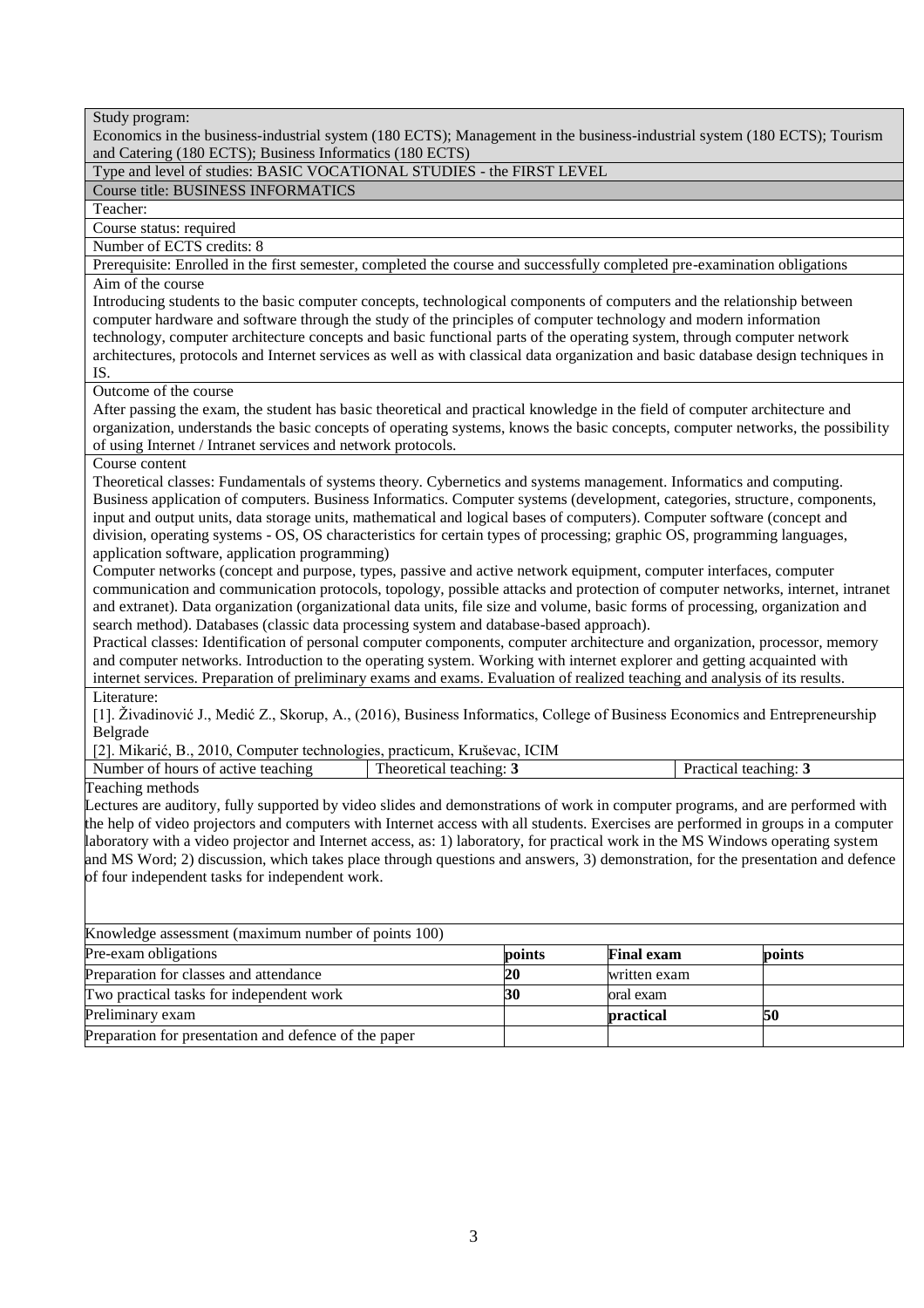Economics in the business-industrial system (180 ECTS); Management in the business-industrial system (180 ECTS); Tourism and Catering (180 ECTS); Business Informatics (180 ECTS)

## Type and level of studies: BASIC VOCATIONAL STUDIES - the FIRST LEVEL

## Course title: BUSINESS INFORMATICS

Teacher:

Course status: required

Number of ECTS credits: 8

Prerequisite: Enrolled in the first semester, completed the course and successfully completed pre-examination obligations Aim of the course

Introducing students to the basic computer concepts, technological components of computers and the relationship between computer hardware and software through the study of the principles of computer technology and modern information technology, computer architecture concepts and basic functional parts of the operating system, through computer network architectures, protocols and Internet services as well as with classical data organization and basic database design techniques in IS.

Outcome of the course

After passing the exam, the student has basic theoretical and practical knowledge in the field of computer architecture and organization, understands the basic concepts of operating systems, knows the basic concepts, computer networks, the possibility of using Internet / Intranet services and network protocols.

Course content

Theoretical classes: Fundamentals of systems theory. Cybernetics and systems management. Informatics and computing. Business application of computers. Business Informatics. Computer systems (development, categories, structure, components, input and output units, data storage units, mathematical and logical bases of computers). Computer software (concept and division, operating systems - OS, OS characteristics for certain types of processing; graphic OS, programming languages, application software, application programming)

Computer networks (concept and purpose, types, passive and active network equipment, computer interfaces, computer communication and communication protocols, topology, possible attacks and protection of computer networks, internet, intranet and extranet). Data organization (organizational data units, file size and volume, basic forms of processing, organization and search method). Databases (classic data processing system and database-based approach).

Practical classes: Identification of personal computer components, computer architecture and organization, processor, memory and computer networks. Introduction to the operating system. Working with internet explorer and getting acquainted with internet services. Preparation of preliminary exams and exams. Evaluation of realized teaching and analysis of its results. Literature:

[1]. Živadinović J., Medić Z., Skorup, A., (2016), Business Informatics, College of Business Economics and Entrepreneurship Belgrade

[2]. Mikarić, B., 2010, Computer technologies, practicum, Kruševac, ICIM

Number of hours of active teaching Theoretical teaching: **3** Practical teaching: **3** 

Teaching methods

Lectures are auditory, fully supported by video slides and demonstrations of work in computer programs, and are performed with the help of video projectors and computers with Internet access with all students. Exercises are performed in groups in a computer laboratory with a video projector and Internet access, as: 1) laboratory, for practical work in the MS Windows operating system and MS Word; 2) discussion, which takes place through questions and answers, 3) demonstration, for the presentation and defence of four independent tasks for independent work.

| Knowledge assessment (maximum number of points 100)   |        |                   |        |
|-------------------------------------------------------|--------|-------------------|--------|
| Pre-exam obligations                                  | points | <b>Final exam</b> | points |
| Preparation for classes and attendance                |        | written exam      |        |
| Two practical tasks for independent work              | 30     | oral exam         |        |
| Preliminary exam                                      |        | <b>practical</b>  |        |
| Preparation for presentation and defence of the paper |        |                   |        |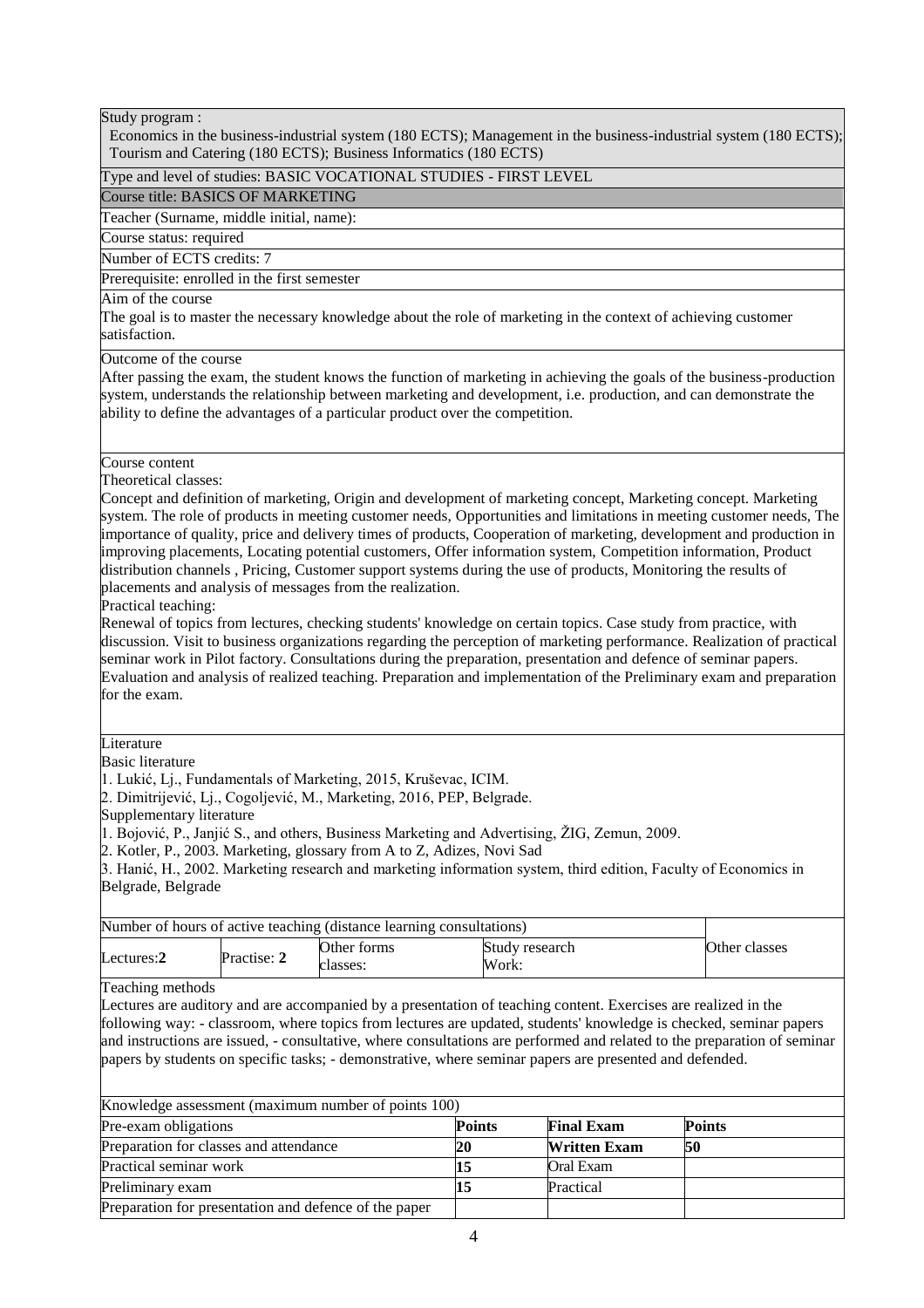Economics in the business-industrial system (180 ECTS); Management in the business-industrial system (180 ECTS); Tourism and Catering (180 ECTS); Business Informatics (180 ECTS)

#### Type and level of studies: BASIC VOCATIONAL STUDIES - FIRST LEVEL

Course title: BASICS OF MARKETING

Teacher (Surname, middle initial, name):

Course status: required

Number of ECTS credits: 7

Prerequisite: enrolled in the first semester

Aim of the course

The goal is to master the necessary knowledge about the role of marketing in the context of achieving customer satisfaction.

Outcome of the course

After passing the exam, the student knows the function of marketing in achieving the goals of the business-production system, understands the relationship between marketing and development, i.e. production, and can demonstrate the ability to define the advantages of a particular product over the competition.

## Course content

Theoretical classes:

Concept and definition of marketing, Origin and development of marketing concept, Marketing concept. Marketing system. The role of products in meeting customer needs, Opportunities and limitations in meeting customer needs, The importance of quality, price and delivery times of products, Cooperation of marketing, development and production in improving placements, Locating potential customers, Offer information system, Competition information, Product distribution channels , Pricing, Customer support systems during the use of products, Monitoring the results of placements and analysis of messages from the realization.

Practical teaching:

Renewal of topics from lectures, checking students' knowledge on certain topics. Case study from practice, with discussion. Visit to business organizations regarding the perception of marketing performance. Realization of practical seminar work in Pilot factory. Consultations during the preparation, presentation and defence of seminar papers. Evaluation and analysis of realized teaching. Preparation and implementation of the Preliminary exam and preparation for the exam.

**Literature** 

Basic literature

1. Lukić, Lj., Fundamentals of Marketing, 2015, Kruševac, ICIM.

2. Dimitrijević, Lj., Cogoljević, M., Marketing, 2016, PEP, Belgrade.

Supplementary literature

1. Bojović, P., Janjić S., and others, Business Marketing and Advertising, ŽIG, Zemun, 2009.

2. Kotler, P., 2003. Marketing, glossary from A to Z, Adizes, Novi Sad

3. Hanić, H., 2002. Marketing research and marketing information system, third edition, Faculty of Economics in Belgrade, Belgrade

| Number of hours of active teaching (distance learning consultations) |             |                         |                         |               |
|----------------------------------------------------------------------|-------------|-------------------------|-------------------------|---------------|
| Lectures:2                                                           | Practise: 2 | Other forms<br>classes: | Study research<br>Work: | Other classes |
| <b>m</b> 1' 1 1                                                      |             |                         |                         |               |

Teaching methods

Lectures are auditory and are accompanied by a presentation of teaching content. Exercises are realized in the following way: - classroom, where topics from lectures are updated, students' knowledge is checked, seminar papers and instructions are issued, - consultative, where consultations are performed and related to the preparation of seminar papers by students on specific tasks; - demonstrative, where seminar papers are presented and defended.

| Knowledge assessment (maximum number of points 100)   |               |                     |               |  |  |
|-------------------------------------------------------|---------------|---------------------|---------------|--|--|
| Pre-exam obligations                                  | <b>Points</b> | <b>Final Exam</b>   | <b>Points</b> |  |  |
| Preparation for classes and attendance                | 20            | <b>Written Exam</b> | 50            |  |  |
| <b>Practical seminar work</b>                         |               | Oral Exam           |               |  |  |
| Preliminary exam                                      |               | Practical           |               |  |  |
| Preparation for presentation and defence of the paper |               |                     |               |  |  |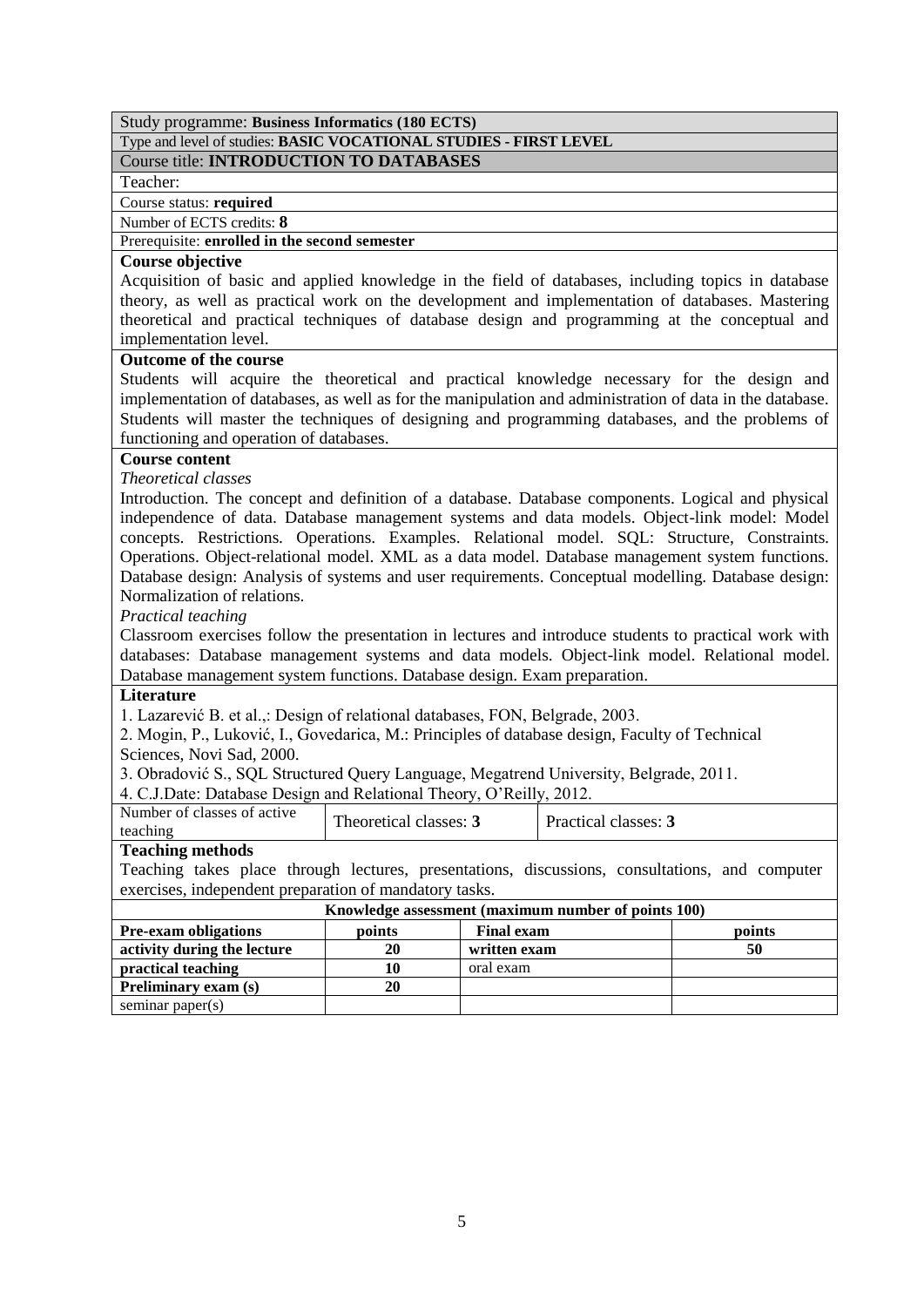Type and level of studies: **BASIC VOCATIONAL STUDIES - FIRST LEVEL**

## Course title: **INTRODUCTION TO DATABASES**

Teacher:

Course status: **required**

Number of ECTS credits: **8**

## Prerequisite: **enrolled in the second semester**

## **Course objective**

Acquisition of basic and applied knowledge in the field of databases, including topics in database theory, as well as practical work on the development and implementation of databases. Mastering theoretical and practical techniques of database design and programming at the conceptual and implementation level.

## **Outcome of the course**

Students will acquire the theoretical and practical knowledge necessary for the design and implementation of databases, as well as for the manipulation and administration of data in the database. Students will master the techniques of designing and programming databases, and the problems of functioning and operation of databases.

## **Course content**

*Theoretical classes*

Introduction. The concept and definition of a database. Database components. Logical and physical independence of data. Database management systems and data models. Object-link model: Model concepts. Restrictions. Operations. Examples. Relational model. SQL: Structure, Constraints. Operations. Object-relational model. XML as a data model. Database management system functions. Database design: Analysis of systems and user requirements. Conceptual modelling. Database design: Normalization of relations.

*Practical teaching*

Classroom exercises follow the presentation in lectures and introduce students to practical work with databases: Database management systems and data models. Object-link model. Relational model. Database management system functions. Database design. Exam preparation.

## **Literature**

1. Lazarević B. et al.,: Design of relational databases, FON, Belgrade, 2003.

2. Mogin, P., Luković, I., Govedarica, M.: Principles of database design, Faculty of Technical Sciences, Novi Sad, 2000.

3. Obradović S., SQL Structured Query Language, Megatrend University, Belgrade, 2011.

4. C.J.Date: Database Design and Relational Theory, O'Reilly, 2012.

| Number of classes of active | Theoretical classes: 5 |                      |
|-----------------------------|------------------------|----------------------|
| teaching                    |                        | Practical classes: 3 |

## **Teaching methods**

Teaching takes place through lectures, presentations, discussions, consultations, and computer exercises, independent preparation of mandatory tasks.

| Knowledge assessment (maximum number of points 100) |        |                   |        |  |
|-----------------------------------------------------|--------|-------------------|--------|--|
| <b>Pre-exam obligations</b>                         | points | <b>Final exam</b> | points |  |
| activity during the lecture                         | 20     | written exam      | 50     |  |
| practical teaching                                  | 10     | oral exam         |        |  |
| <b>Preliminary exam (s)</b>                         | 20     |                   |        |  |
| seminar paper $(s)$                                 |        |                   |        |  |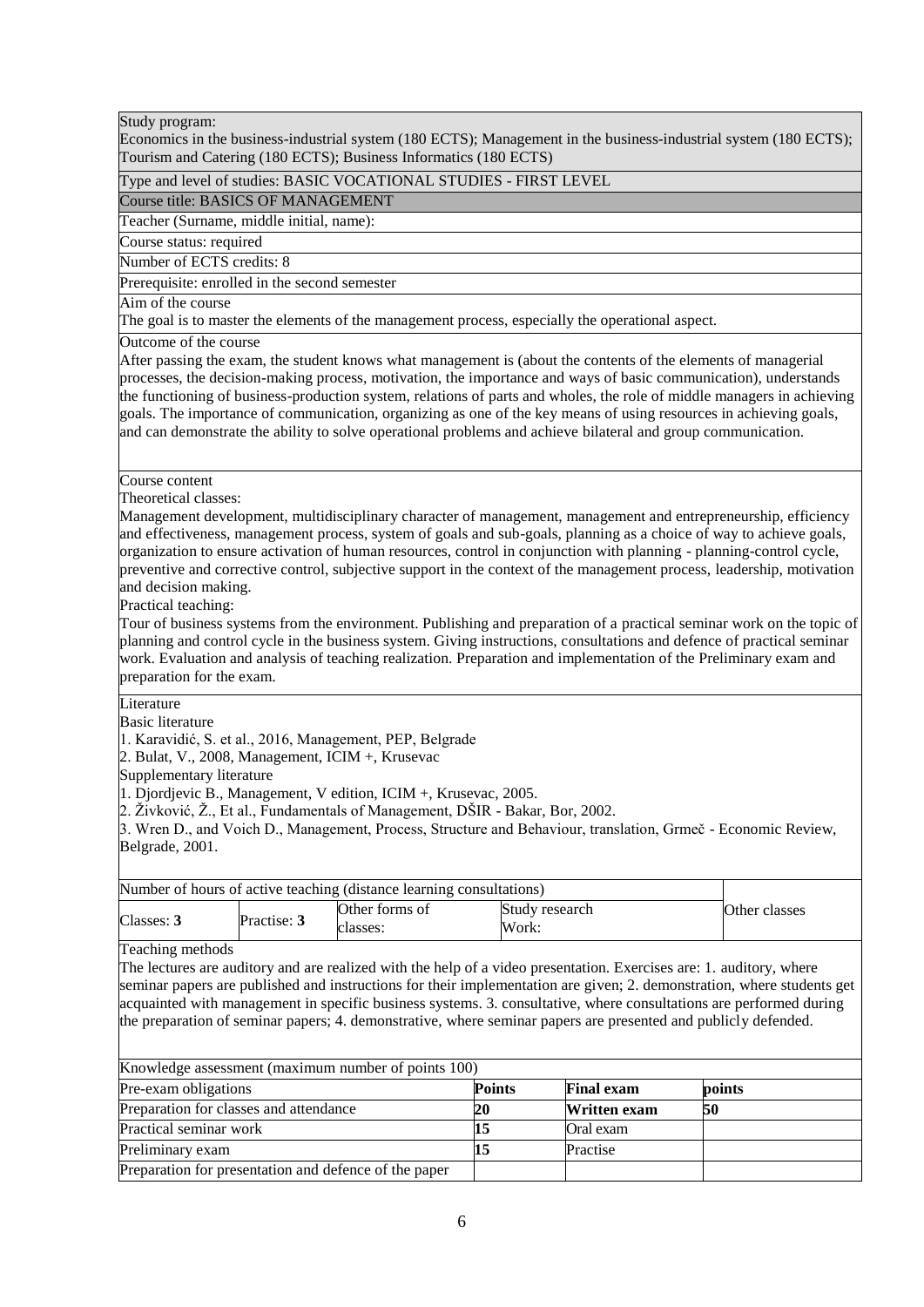Economics in the business-industrial system (180 ECTS); Management in the business-industrial system (180 ECTS); Tourism and Catering (180 ECTS); Business Informatics (180 ECTS)

## Type and level of studies: BASIC VOCATIONAL STUDIES - FIRST LEVEL

## Course title: BASICS OF MANAGEMENT

Teacher (Surname, middle initial, name):

Course status: required

Number of ECTS credits: 8

Prerequisite: enrolled in the second semester

Aim of the course

The goal is to master the elements of the management process, especially the operational aspect.

Outcome of the course

After passing the exam, the student knows what management is (about the contents of the elements of managerial processes, the decision-making process, motivation, the importance and ways of basic communication), understands the functioning of business-production system, relations of parts and wholes, the role of middle managers in achieving goals. The importance of communication, organizing as one of the key means of using resources in achieving goals, and can demonstrate the ability to solve operational problems and achieve bilateral and group communication.

#### Course content

Theoretical classes:

Management development, multidisciplinary character of management, management and entrepreneurship, efficiency and effectiveness, management process, system of goals and sub-goals, planning as a choice of way to achieve goals, organization to ensure activation of human resources, control in conjunction with planning - planning-control cycle, preventive and corrective control, subjective support in the context of the management process, leadership, motivation and decision making.

Practical teaching:

Tour of business systems from the environment. Publishing and preparation of a practical seminar work on the topic of planning and control cycle in the business system. Giving instructions, consultations and defence of practical seminar work. Evaluation and analysis of teaching realization. Preparation and implementation of the Preliminary exam and preparation for the exam.

**Literature** 

Basic literature

1. Karavidić, S. et al., 2016, Management, PEP, Belgrade

2. Bulat, V., 2008, Management, ICIM +, Krusevac

Supplementary literature

1. Djordjevic B., Management, V edition, ICIM +, Krusevac, 2005.

2. Živković, Ž., Et al., Fundamentals of Management, DŠIR - Bakar, Bor, 2002.

3. Wren D., and Voich D., Management, Process, Structure and Behaviour, translation, Grmeč - Economic Review, Belgrade, 2001.

|                        |                                        | Number of hours of active teaching (distance learning consultations)                                           |               |                     |                                                                                                                                                                                                                                                                                                                                                                     |
|------------------------|----------------------------------------|----------------------------------------------------------------------------------------------------------------|---------------|---------------------|---------------------------------------------------------------------------------------------------------------------------------------------------------------------------------------------------------------------------------------------------------------------------------------------------------------------------------------------------------------------|
| Classes: 3             | Practise: 3                            | Other forms of                                                                                                 |               | Study research      | Other classes                                                                                                                                                                                                                                                                                                                                                       |
|                        |                                        | classes:                                                                                                       | Work:         |                     |                                                                                                                                                                                                                                                                                                                                                                     |
| Teaching methods       |                                        |                                                                                                                |               |                     |                                                                                                                                                                                                                                                                                                                                                                     |
|                        |                                        | the preparation of seminar papers; 4. demonstrative, where seminar papers are presented and publicly defended. |               |                     | The lectures are auditory and are realized with the help of a video presentation. Exercises are: 1. auditory, where<br>seminar papers are published and instructions for their implementation are given; 2. demonstration, where students get<br>acquainted with management in specific business systems. 3. consultative, where consultations are performed during |
|                        |                                        | Knowledge assessment (maximum number of points 100)                                                            |               |                     |                                                                                                                                                                                                                                                                                                                                                                     |
| Pre-exam obligations   |                                        |                                                                                                                | <b>Points</b> | <b>Final exam</b>   | points                                                                                                                                                                                                                                                                                                                                                              |
|                        | Preparation for classes and attendance |                                                                                                                | 20            | <b>Written exam</b> | 50                                                                                                                                                                                                                                                                                                                                                                  |
| Practical seminar work |                                        |                                                                                                                | 15            | Oral exam           |                                                                                                                                                                                                                                                                                                                                                                     |
| Preliminary exam       |                                        |                                                                                                                | 15            | Practise            |                                                                                                                                                                                                                                                                                                                                                                     |
|                        |                                        | Preparation for presentation and defence of the paper                                                          |               |                     |                                                                                                                                                                                                                                                                                                                                                                     |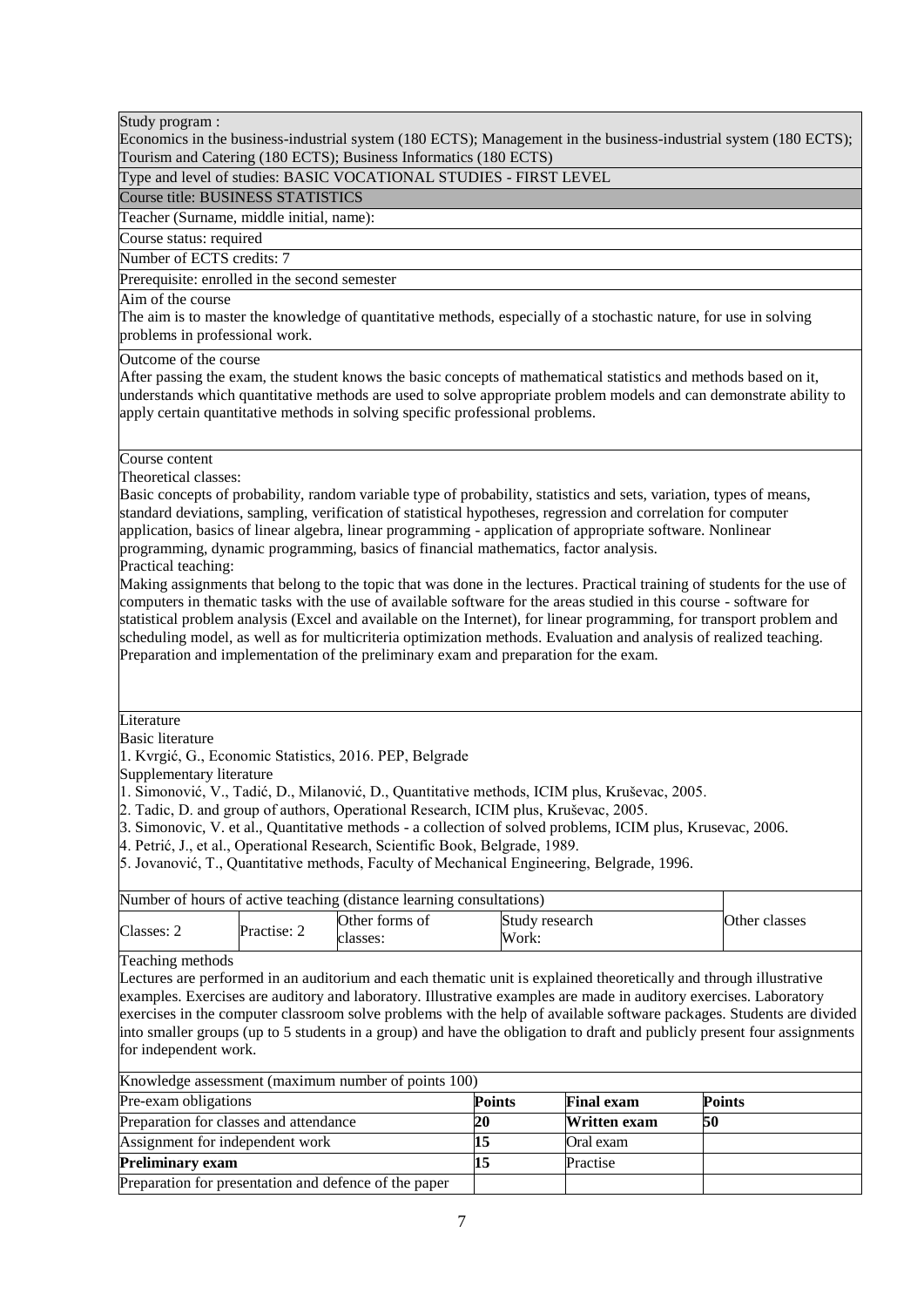Economics in the business-industrial system (180 ECTS); Management in the business-industrial system (180 ECTS); Tourism and Catering (180 ECTS); Business Informatics (180 ECTS)

Type and level of studies: BASIC VOCATIONAL STUDIES - FIRST LEVEL

Course title: BUSINESS STATISTICS

Teacher (Surname, middle initial, name):

Course status: required

Number of ECTS credits: 7

Prerequisite: enrolled in the second semester

Aim of the course

The aim is to master the knowledge of quantitative methods, especially of a stochastic nature, for use in solving problems in professional work.

Outcome of the course

After passing the exam, the student knows the basic concepts of mathematical statistics and methods based on it, understands which quantitative methods are used to solve appropriate problem models and can demonstrate ability to apply certain quantitative methods in solving specific professional problems.

Course content

Theoretical classes:

Basic concepts of probability, random variable type of probability, statistics and sets, variation, types of means, standard deviations, sampling, verification of statistical hypotheses, regression and correlation for computer application, basics of linear algebra, linear programming - application of appropriate software. Nonlinear programming, dynamic programming, basics of financial mathematics, factor analysis.

Practical teaching:

Making assignments that belong to the topic that was done in the lectures. Practical training of students for the use of computers in thematic tasks with the use of available software for the areas studied in this course - software for statistical problem analysis (Excel and available on the Internet), for linear programming, for transport problem and scheduling model, as well as for multicriteria optimization methods. Evaluation and analysis of realized teaching. Preparation and implementation of the preliminary exam and preparation for the exam.

**Literature** 

Basic literature

1. Kvrgić, G., Economic Statistics, 2016. PEP, Belgrade

Supplementary literature

1. Simonović, V., Tadić, D., Milanović, D., Quantitative methods, ICIM plus, Kruševac, 2005.

2. Tadic, D. and group of authors, Operational Research, ICIM plus, Kruševac, 2005.

3. Simonovic, V. et al., Quantitative methods - a collection of solved problems, ICIM plus, Krusevac, 2006.

4. Petrić, J., et al., Operational Research, Scientific Book, Belgrade, 1989.

5. Jovanović, T., Quantitative methods, Faculty of Mechanical Engineering, Belgrade, 1996.

| Other classes |
|---------------|
|               |

Teaching methods

Lectures are performed in an auditorium and each thematic unit is explained theoretically and through illustrative examples. Exercises are auditory and laboratory. Illustrative examples are made in auditory exercises. Laboratory exercises in the computer classroom solve problems with the help of available software packages. Students are divided into smaller groups (up to 5 students in a group) and have the obligation to draft and publicly present four assignments for independent work.

| Knowledge assessment (maximum number of points 100)   |               |                     |               |  |  |
|-------------------------------------------------------|---------------|---------------------|---------------|--|--|
| Pre-exam obligations                                  | <b>Points</b> | <b>Final exam</b>   | <b>Points</b> |  |  |
| Preparation for classes and attendance                | 20            | <b>Written exam</b> | 50            |  |  |
| Assignment for independent work                       |               | Oral exam           |               |  |  |
| <b>Preliminary exam</b>                               |               | Practise            |               |  |  |
| Preparation for presentation and defence of the paper |               |                     |               |  |  |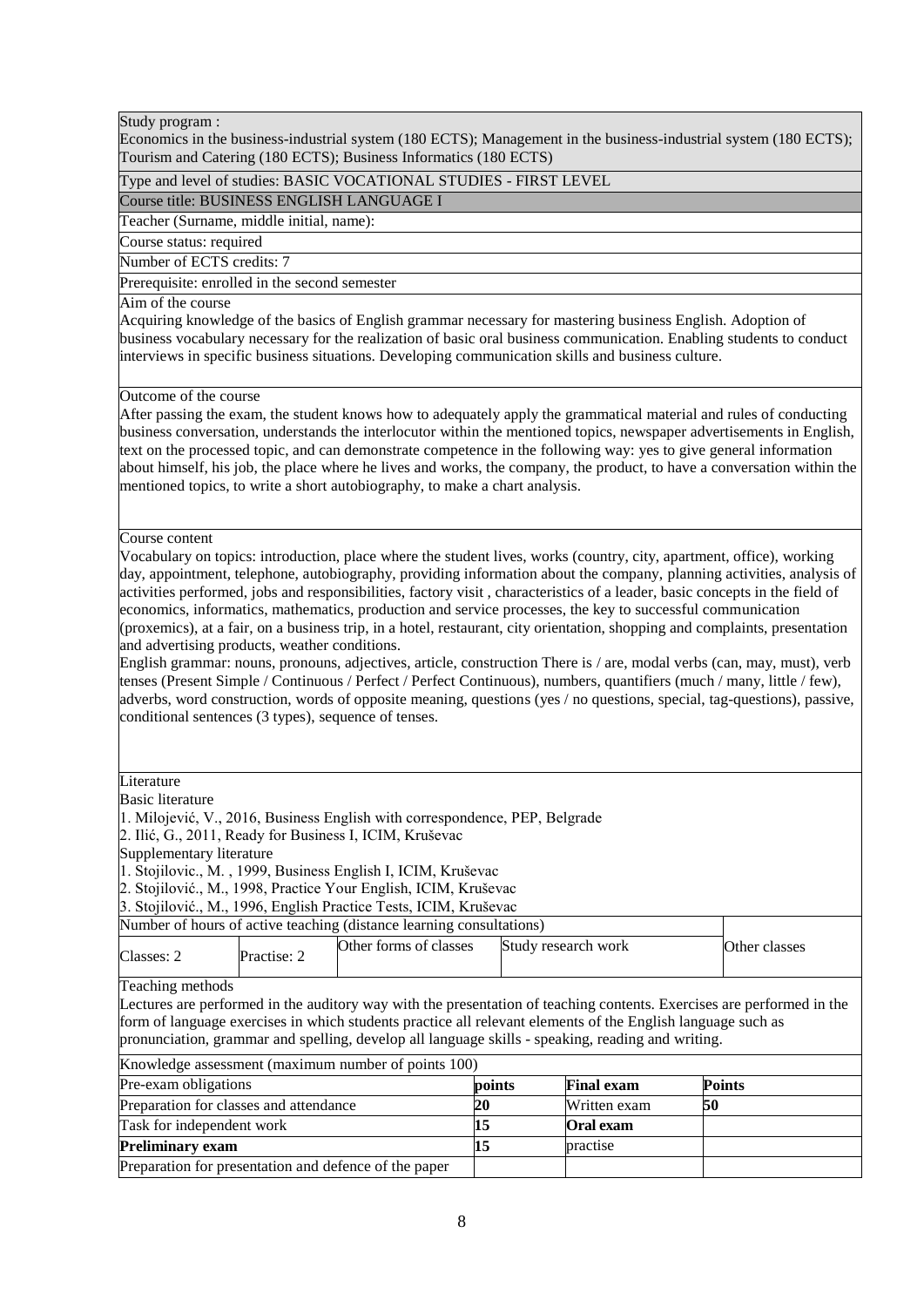Economics in the business-industrial system (180 ECTS); Management in the business-industrial system (180 ECTS); Tourism and Catering (180 ECTS); Business Informatics (180 ECTS)

## Type and level of studies: BASIC VOCATIONAL STUDIES - FIRST LEVEL

Course title: BUSINESS ENGLISH LANGUAGE I

Teacher (Surname, middle initial, name):

Course status: required

Number of ECTS credits: 7

Prerequisite: enrolled in the second semester

#### Aim of the course

Acquiring knowledge of the basics of English grammar necessary for mastering business English. Adoption of business vocabulary necessary for the realization of basic oral business communication. Enabling students to conduct interviews in specific business situations. Developing communication skills and business culture.

#### Outcome of the course

After passing the exam, the student knows how to adequately apply the grammatical material and rules of conducting business conversation, understands the interlocutor within the mentioned topics, newspaper advertisements in English, text on the processed topic, and can demonstrate competence in the following way: yes to give general information about himself, his job, the place where he lives and works, the company, the product, to have a conversation within the mentioned topics, to write a short autobiography, to make a chart analysis.

#### Course content

Vocabulary on topics: introduction, place where the student lives, works (country, city, apartment, office), working day, appointment, telephone, autobiography, providing information about the company, planning activities, analysis of activities performed, jobs and responsibilities, factory visit , characteristics of a leader, basic concepts in the field of economics, informatics, mathematics, production and service processes, the key to successful communication (proxemics), at a fair, on a business trip, in a hotel, restaurant, city orientation, shopping and complaints, presentation and advertising products, weather conditions.

English grammar: nouns, pronouns, adjectives, article, construction There is / are, modal verbs (can, may, must), verb tenses (Present Simple / Continuous / Perfect / Perfect Continuous), numbers, quantifiers (much / many, little / few), adverbs, word construction, words of opposite meaning, questions (yes / no questions, special, tag-questions), passive, conditional sentences (3 types), sequence of tenses.

#### Literature

Basic literature 1. Milojević, V., 2016, Business English with correspondence, PEP, Belgrade 2. Ilić, G., 2011, Ready for Business I, ICIM, Kruševac Supplementary literature 1. Stojilovic., M. , 1999, Business English I, ICIM, Kruševac 2. Stojilović., M., 1998, Practice Your English, ICIM, Kruševac 3. Stojilović., M., 1996, English Practice Tests, ICIM, Kruševac Number of hours of active teaching (distance learning consultations) Classes: 2 Practise: 2 Other forms of classes Study research work Other classes Other forms of classes Study research work Teaching methods Lectures are performed in the auditory way with the presentation of teaching contents. Exercises are performed in the form of language exercises in which students practice all relevant elements of the English language such as pronunciation, grammar and spelling, develop all language skills - speaking, reading and writing. Knowledge assessment (maximum number of points 100) Pre-exam obligations **points Final exam Points** Preparation for classes and attendance **20** Written exam **50** Task for independent work **15 Oral exam Preliminary exam 15 practise** Preparation for presentation and defence of the paper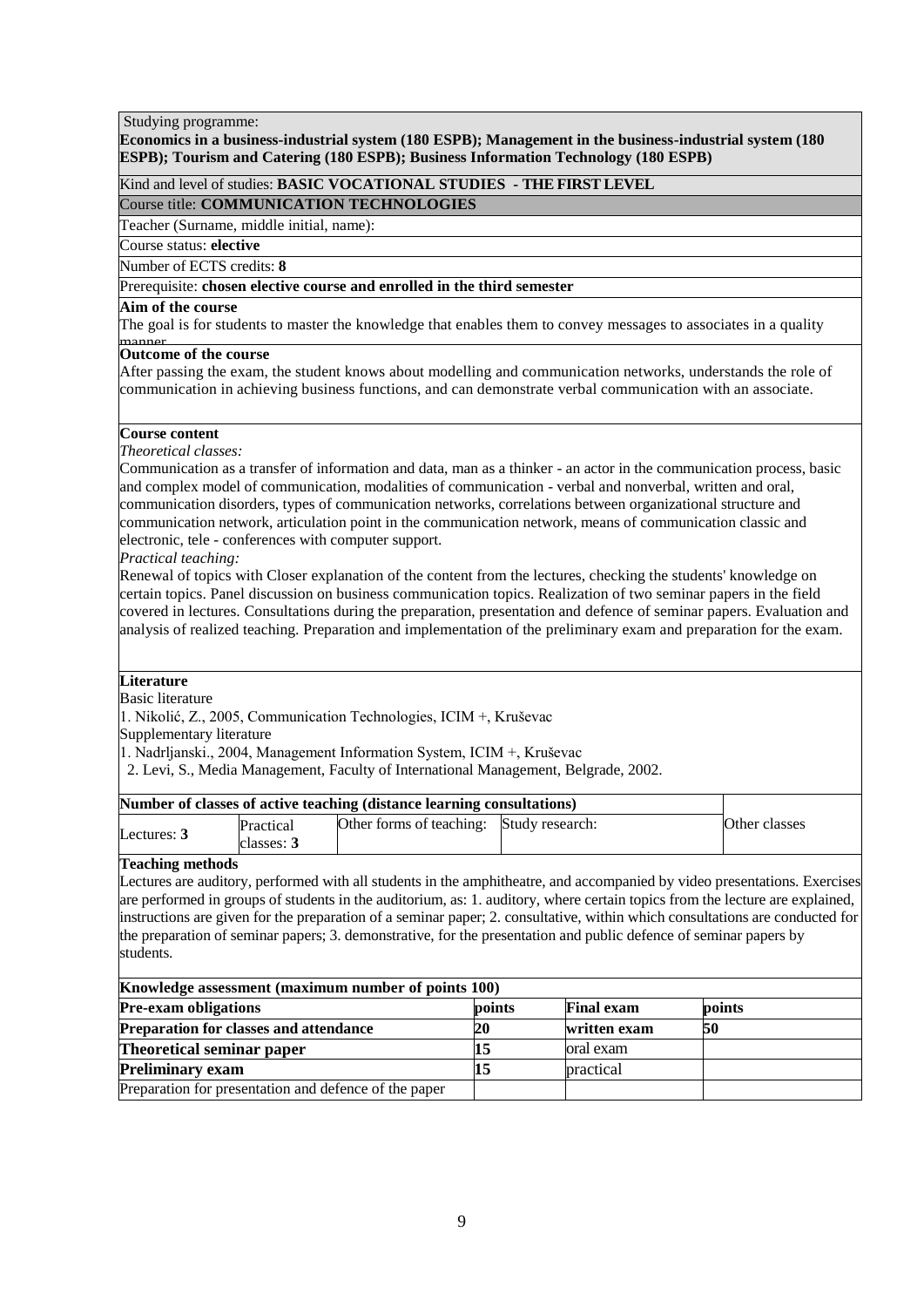## Studying programme:

## **Economics in a business-industrial system (180 ESPB); Management in the business-industrial system (180 ESPB); Tourism and Catering (180 ESPB); Business Information Technology (180 ESPB)**

Kind and level of studies: **BASIC VOCATIONAL STUDIES - THE FIRST LEVEL**

Course title: **COMMUNICATION TECHNOLOGIES**

Teacher (Surname, middle initial, name):

Course status: **elective**

Number of ECTS credits: **8**

Prerequisite: **chosen elective course and enrolled in the third semester**

#### **Aim of the course**

The goal is for students to master the knowledge that enables them to convey messages to associates in a quality

# manner. **Outcome of the course**

After passing the exam, the student knows about modelling and communication networks, understands the role of communication in achieving business functions, and can demonstrate verbal communication with an associate.

## **Course content**

*Theoretical classes:*

Communication as a transfer of information and data, man as a thinker - an actor in the communication process, basic and complex model of communication, modalities of communication - verbal and nonverbal, written and oral, communication disorders, types of communication networks, correlations between organizational structure and communication network, articulation point in the communication network, means of communication classic and electronic, tele - conferences with computer support.

*Practical teaching:*

Renewal of topics with Closer explanation of the content from the lectures, checking the students' knowledge on certain topics. Panel discussion on business communication topics. Realization of two seminar papers in the field covered in lectures. Consultations during the preparation, presentation and defence of seminar papers. Evaluation and analysis of realized teaching. Preparation and implementation of the preliminary exam and preparation for the exam.

## **Literature**

Basic literature

1. Nikolić, Z., 2005, Communication Technologies, ICIM +, Kruševac

Supplementary literature

1. Nadrljanski., 2004, Management Information System, ICIM +, Kruševac

2. Levi, S., Media Management, Faculty of International Management, Belgrade, 2002.

| Number of classes of active teaching (distance learning consultations) |                         |                                          |  |               |
|------------------------------------------------------------------------|-------------------------|------------------------------------------|--|---------------|
| Lectures: $3$                                                          | Practical<br>classes: 3 | Other forms of teaching: Study research: |  | Other classes |

## **Teaching methods**

Lectures are auditory, performed with all students in the amphitheatre, and accompanied by video presentations. Exercises are performed in groups of students in the auditorium, as: 1. auditory, where certain topics from the lecture are explained, instructions are given for the preparation of a seminar paper; 2. consultative, within which consultations are conducted for the preparation of seminar papers; 3. demonstrative, for the presentation and public defence of seminar papers by students.

| Knowledge assessment (maximum number of points 100)   |        |                   |        |  |  |
|-------------------------------------------------------|--------|-------------------|--------|--|--|
| <b>Pre-exam obligations</b>                           | points | <b>Final exam</b> | points |  |  |
| <b>Preparation for classes and attendance</b>         | 20     | written exam      | 50     |  |  |
| Theoretical seminar paper                             |        | oral exam         |        |  |  |
| <b>Preliminary exam</b>                               |        | practical         |        |  |  |
| Preparation for presentation and defence of the paper |        |                   |        |  |  |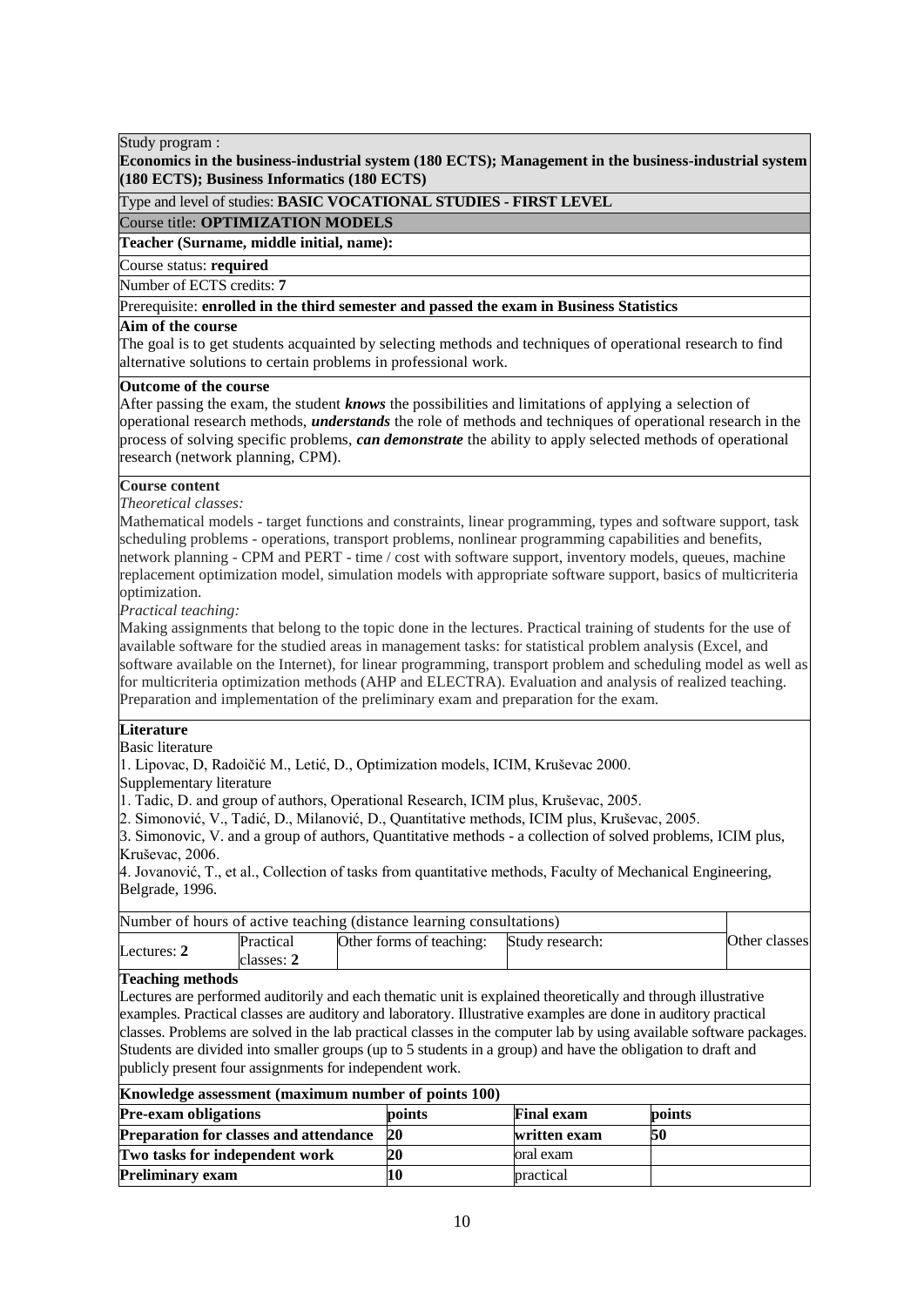**Economics in the business-industrial system (180 ECTS); Management in the business-industrial system (180 ECTS); Business Informatics (180 ECTS)**

Type and level of studies: **BASIC VOCATIONAL STUDIES - FIRST LEVEL**

Course title: **OPTIMIZATION MODELS**

**Teacher (Surname, middle initial, name):**

Course status: **required**

Number of ECTS credits: 7

Prerequisite: **enrolled in the third semester and passed the exam in Business Statistics** 

## Aim of the course

The goal is to get students acquainted by selecting methods and techniques of operational research to find alternative solutions to certain problems in professional work.

## **Outcome of the course**

After passing the exam, the student *knows* the possibilities and limitations of applying a selection of operational research methods, *understands* the role of methods and techniques of operational research in the process of solving specific problems, *can demonstrate* the ability to apply selected methods of operational research (network planning, CPM).

## **Course content**

*Theoretical classes:*

Mathematical models - target functions and constraints, linear programming, types and software support, task scheduling problems - operations, transport problems, nonlinear programming capabilities and benefits, network planning - CPM and PERT - time / cost with software support, inventory models, queues, machine replacement optimization model, simulation models with appropriate software support, basics of multicriteria optimization.

*Practical teaching:*

Making assignments that belong to the topic done in the lectures. Practical training of students for the use of available software for the studied areas in management tasks: for statistical problem analysis (Excel, and software available on the Internet), for linear programming, transport problem and scheduling model as well as for multicriteria optimization methods (AHP and ELECTRA). Evaluation and analysis of realized teaching. Preparation and implementation of the preliminary exam and preparation for the exam.

## **Literature**

Basic literature

1. Lipovac, D, Radoičić M., Letić, D., Optimization models, ICIM, Kruševac 2000.

Supplementary literature

1. Tadic, D. and group of authors, Operational Research, ICIM plus, Kruševac, 2005.

2. Simonović, V., Tadić, D., Milanović, D., Quantitative methods, ICIM plus, Kruševac, 2005.

3. Simonovic, V. and a group of authors, Quantitative methods - a collection of solved problems, ICIM plus, Kruševac, 2006.

4. Jovanović, T., et al., Collection of tasks from quantitative methods, Faculty of Mechanical Engineering, Belgrade, 1996.

|                         |            | Number of hours of active teaching (distance learning consultations)                                          |                 |               |
|-------------------------|------------|---------------------------------------------------------------------------------------------------------------|-----------------|---------------|
| Lectures: $2$           | Practical  | Other forms of teaching:                                                                                      | Study research: | Other classes |
|                         | classes: 2 |                                                                                                               |                 |               |
| <b>Teaching methods</b> |            |                                                                                                               |                 |               |
|                         |            | Lectures are performed auditorily and each thematic unit is explained theoretically and through illustrative  |                 |               |
|                         |            | examples. Practical classes are auditory and laboratory. Illustrative examples are done in auditory practical |                 |               |

examples. Practical classes are auditory and laboratory. Illustrative examples are done in auditory practical classes. Problems are solved in the lab practical classes in the computer lab by using available software packages. Students are divided into smaller groups (up to 5 students in a group) and have the obligation to draft and publicly present four assignments for independent work.

## **Knowledge assessment (maximum number of points 100)**

| <b>Pre-exam obligations</b>                   | points    | <b>Final exam</b> | points |
|-----------------------------------------------|-----------|-------------------|--------|
| <b>Preparation for classes and attendance</b> | <b>20</b> | written exam      | 50     |
| Two tasks for independent work                |           | oral exam         |        |
| <b>Preliminary exam</b>                       |           | practical         |        |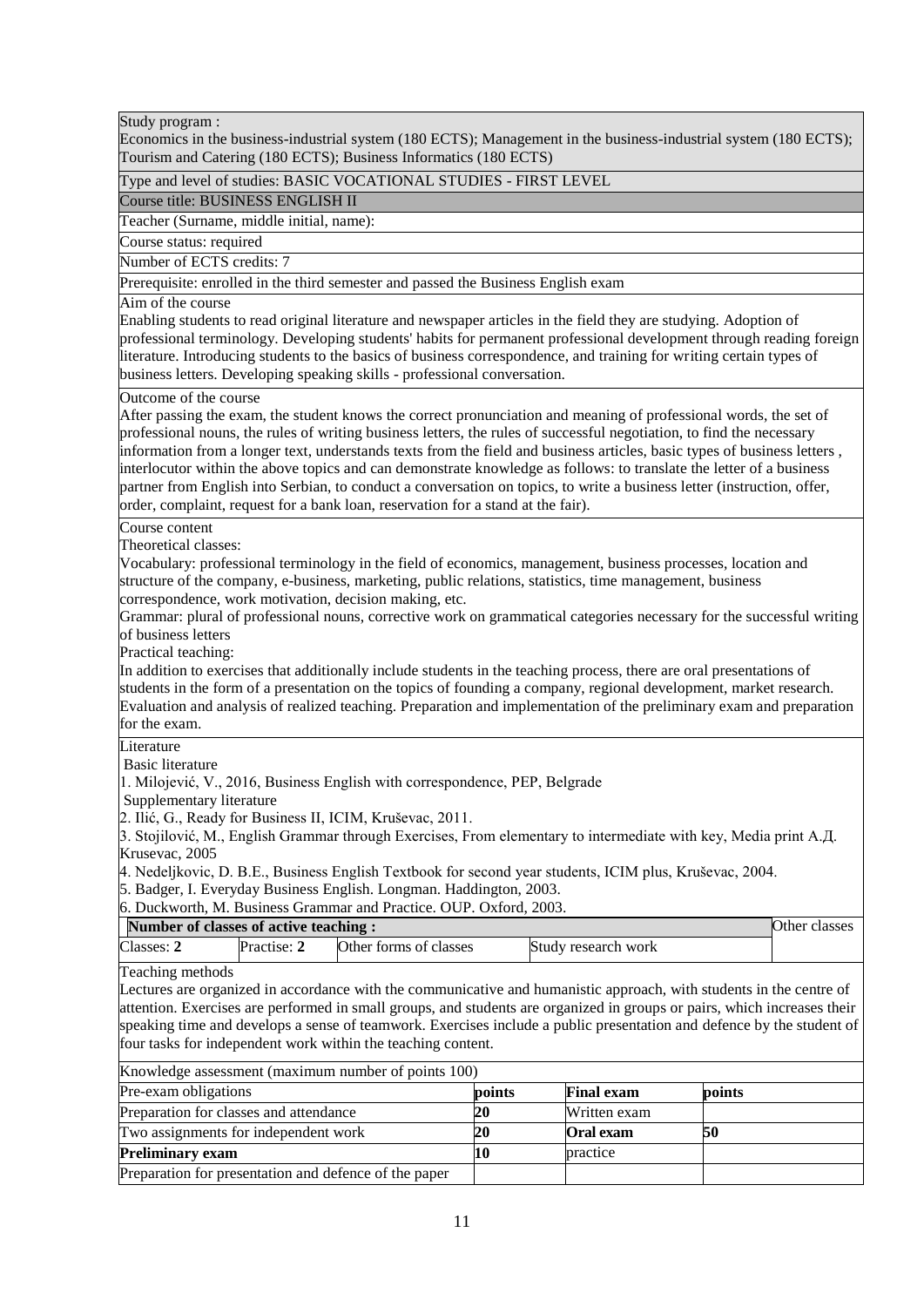Economics in the business-industrial system (180 ECTS); Management in the business-industrial system (180 ECTS); Tourism and Catering (180 ECTS); Business Informatics (180 ECTS)

## Type and level of studies: BASIC VOCATIONAL STUDIES - FIRST LEVEL

Course title: BUSINESS ENGLISH II

Teacher (Surname, middle initial, name):

Course status: required

Number of ECTS credits: 7

Prerequisite: enrolled in the third semester and passed the Business English exam

#### Aim of the course

Enabling students to read original literature and newspaper articles in the field they are studying. Adoption of professional terminology. Developing students' habits for permanent professional development through reading foreign literature. Introducing students to the basics of business correspondence, and training for writing certain types of business letters. Developing speaking skills - professional conversation.

Outcome of the course

After passing the exam, the student knows the correct pronunciation and meaning of professional words, the set of professional nouns, the rules of writing business letters, the rules of successful negotiation, to find the necessary information from a longer text, understands texts from the field and business articles, basic types of business letters , interlocutor within the above topics and can demonstrate knowledge as follows: to translate the letter of a business partner from English into Serbian, to conduct a conversation on topics, to write a business letter (instruction, offer, order, complaint, request for a bank loan, reservation for a stand at the fair).

Course content

Theoretical classes:

Vocabulary: professional terminology in the field of economics, management, business processes, location and structure of the company, e-business, marketing, public relations, statistics, time management, business correspondence, work motivation, decision making, etc.

Grammar: plural of professional nouns, corrective work on grammatical categories necessary for the successful writing of business letters

Practical teaching:

In addition to exercises that additionally include students in the teaching process, there are oral presentations of students in the form of a presentation on the topics of founding a company, regional development, market research. Evaluation and analysis of realized teaching. Preparation and implementation of the preliminary exam and preparation for the exam.

Literature

Basic literature

1. Milojević, V., 2016, Business English with correspondence, PEP, Belgrade

Supplementary literature

2. Ilić, G., Ready for Business II, ICIM, Kruševac, 2011.

3. Stojilović, M., English Grammar through Exercises, From elementary to intermediate with key, Media print А.Д. Krusevac, 2005

4. Nedeljkovic, D. B.E., Business English Textbook for second year students, ICIM plus, Kruševac, 2004.

5. Badger, I. Everyday Business English. Longman. Haddington, 2003.

6. Duckworth, M. Business Grammar and Practice. OUP. Oxford, 2003.

| Number of classes of active teaching : |             |                        |                     | Other classes |
|----------------------------------------|-------------|------------------------|---------------------|---------------|
| Classes:                               | Practise: 2 | Other forms of classes | Study research work |               |

Teaching methods

Lectures are organized in accordance with the communicative and humanistic approach, with students in the centre of attention. Exercises are performed in small groups, and students are organized in groups or pairs, which increases their speaking time and develops a sense of teamwork. Exercises include a public presentation and defence by the student of four tasks for independent work within the teaching content.

| Knowledge assessment (maximum number of points 100)   |        |                   |           |  |
|-------------------------------------------------------|--------|-------------------|-----------|--|
| Pre-exam obligations                                  | points | <b>Final exam</b> | points    |  |
| Preparation for classes and attendance                | 20     | Written exam      |           |  |
| Two assignments for independent work                  | 20     | <b>Oral</b> exam  | <b>50</b> |  |
| <b>Preliminary exam</b>                               | 10     | practice          |           |  |
| Preparation for presentation and defence of the paper |        |                   |           |  |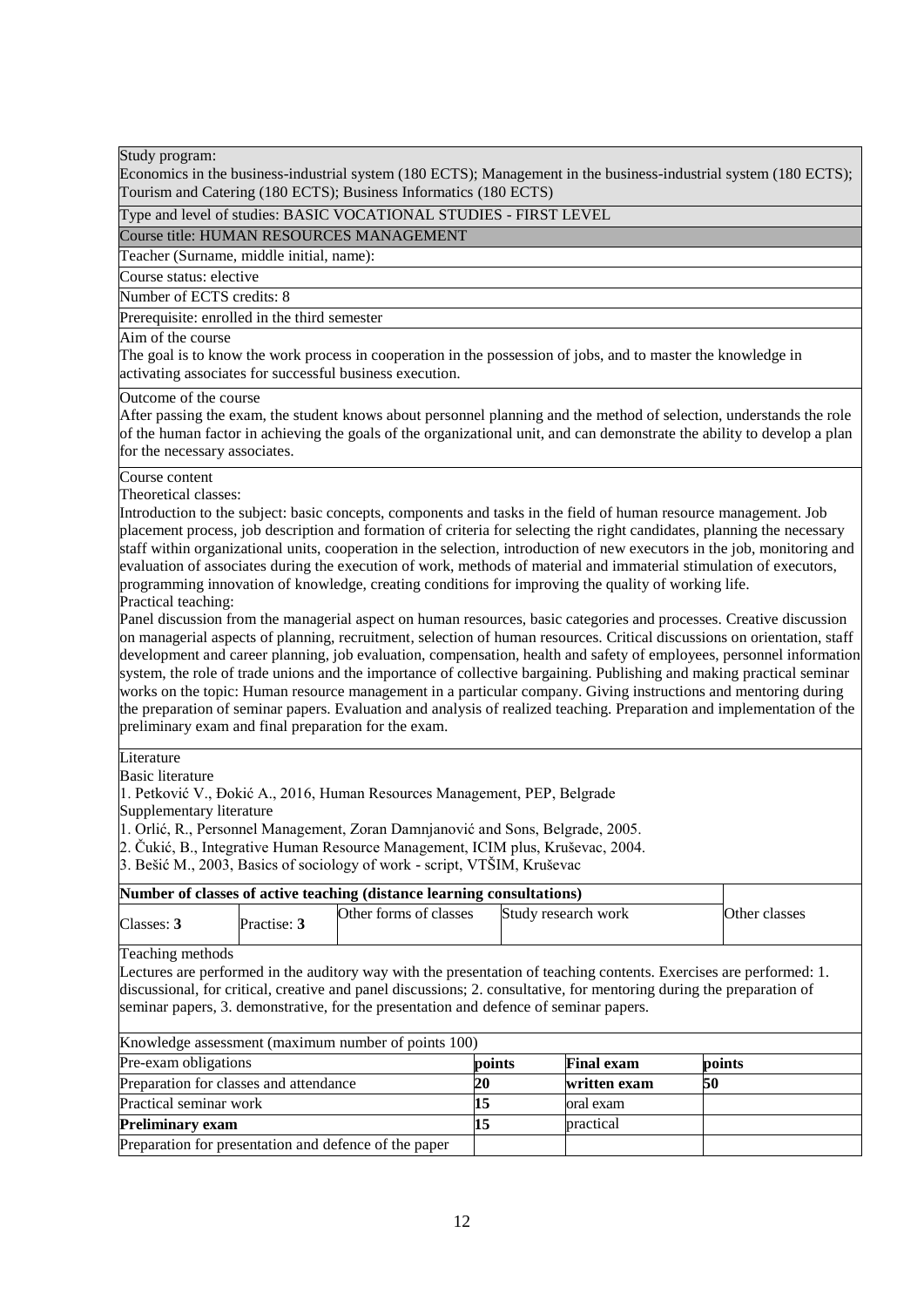Economics in the business-industrial system (180 ECTS); Management in the business-industrial system (180 ECTS); Tourism and Catering (180 ECTS); Business Informatics (180 ECTS)

Type and level of studies: BASIC VOCATIONAL STUDIES - FIRST LEVEL

Course title: HUMAN RESOURCES MANAGEMENT

Teacher (Surname, middle initial, name):

Course status: elective

Number of ECTS credits: 8

Prerequisite: enrolled in the third semester

#### Aim of the course

The goal is to know the work process in cooperation in the possession of jobs, and to master the knowledge in activating associates for successful business execution.

#### Outcome of the course

After passing the exam, the student knows about personnel planning and the method of selection, understands the role of the human factor in achieving the goals of the organizational unit, and can demonstrate the ability to develop a plan for the necessary associates.

#### Course content

Theoretical classes:

Introduction to the subject: basic concepts, components and tasks in the field of human resource management. Job placement process, job description and formation of criteria for selecting the right candidates, planning the necessary staff within organizational units, cooperation in the selection, introduction of new executors in the job, monitoring and evaluation of associates during the execution of work, methods of material and immaterial stimulation of executors, programming innovation of knowledge, creating conditions for improving the quality of working life. Practical teaching:

Panel discussion from the managerial aspect on human resources, basic categories and processes. Creative discussion on managerial aspects of planning, recruitment, selection of human resources. Critical discussions on orientation, staff development and career planning, job evaluation, compensation, health and safety of employees, personnel information system, the role of trade unions and the importance of collective bargaining. Publishing and making practical seminar works on the topic: Human resource management in a particular company. Giving instructions and mentoring during the preparation of seminar papers. Evaluation and analysis of realized teaching. Preparation and implementation of the preliminary exam and final preparation for the exam.

#### Literature

Basic literature

1. Petković V., Đokić A., 2016, Human Resources Management, PEP, Belgrade

Supplementary literature

1. Orlić, R., Personnel Management, Zoran Damnjanović and Sons, Belgrade, 2005.

2. Čukić, B., Integrative Human Resource Management, ICIM plus, Kruševac, 2004.

3. Bešić M., 2003, Basics of sociology of work - script, VTŠIM, Kruševac

| Number of classes of active teaching (distance learning consultations) |             |                        |                     |               |
|------------------------------------------------------------------------|-------------|------------------------|---------------------|---------------|
| Classes: 3                                                             | Practise: 3 | Other forms of classes | Study research work | Other classes |

Teaching methods

Lectures are performed in the auditory way with the presentation of teaching contents. Exercises are performed: 1. discussional, for critical, creative and panel discussions; 2. consultative, for mentoring during the preparation of seminar papers, 3. demonstrative, for the presentation and defence of seminar papers.

| Knowledge assessment (maximum number of points 100)   |        |                   |        |  |
|-------------------------------------------------------|--------|-------------------|--------|--|
| Pre-exam obligations                                  | points | <b>Final exam</b> | points |  |
| Preparation for classes and attendance                | 20     | written exam      | 50     |  |
| Practical seminar work                                |        | oral exam         |        |  |
| <b>Preliminary exam</b>                               |        | practical         |        |  |
| Preparation for presentation and defence of the paper |        |                   |        |  |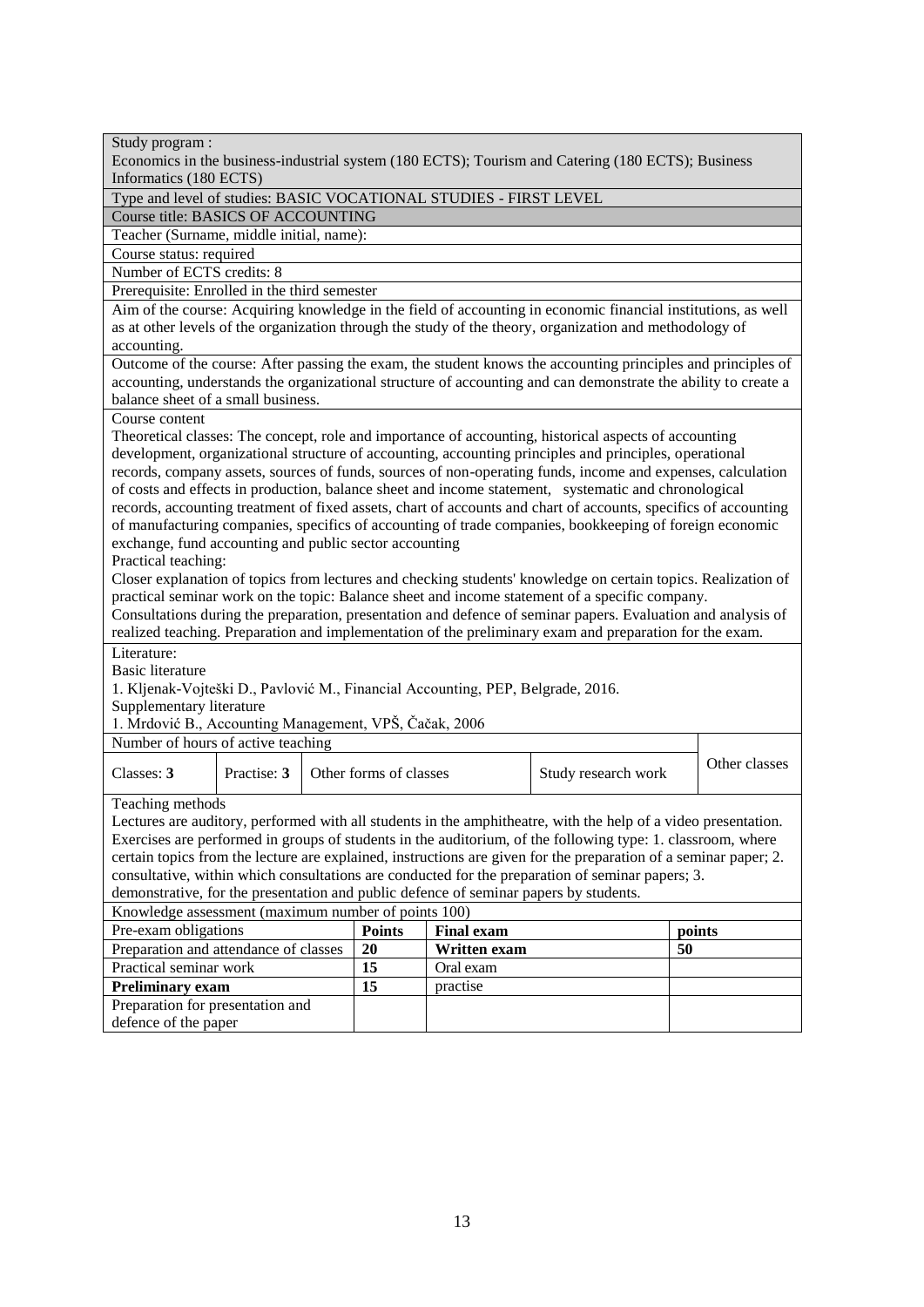| Study program :                                                                                                  |  |  |  |  |  |
|------------------------------------------------------------------------------------------------------------------|--|--|--|--|--|
| Economics in the business-industrial system (180 ECTS); Tourism and Catering (180 ECTS); Business                |  |  |  |  |  |
| Informatics (180 ECTS)                                                                                           |  |  |  |  |  |
| Type and level of studies: BASIC VOCATIONAL STUDIES - FIRST LEVEL<br>Course title: BASICS OF ACCOUNTING          |  |  |  |  |  |
| Teacher (Surname, middle initial, name):                                                                         |  |  |  |  |  |
| Course status: required                                                                                          |  |  |  |  |  |
| Number of ECTS credits: 8                                                                                        |  |  |  |  |  |
| Prerequisite: Enrolled in the third semester                                                                     |  |  |  |  |  |
| Aim of the course: Acquiring knowledge in the field of accounting in economic financial institutions, as well    |  |  |  |  |  |
| as at other levels of the organization through the study of the theory, organization and methodology of          |  |  |  |  |  |
| accounting.                                                                                                      |  |  |  |  |  |
| Outcome of the course: After passing the exam, the student knows the accounting principles and principles of     |  |  |  |  |  |
| accounting, understands the organizational structure of accounting and can demonstrate the ability to create a   |  |  |  |  |  |
| balance sheet of a small business.                                                                               |  |  |  |  |  |
| Course content                                                                                                   |  |  |  |  |  |
| Theoretical classes: The concept, role and importance of accounting, historical aspects of accounting            |  |  |  |  |  |
| development, organizational structure of accounting, accounting principles and principles, operational           |  |  |  |  |  |
| records, company assets, sources of funds, sources of non-operating funds, income and expenses, calculation      |  |  |  |  |  |
| of costs and effects in production, balance sheet and income statement, systematic and chronological             |  |  |  |  |  |
| records, accounting treatment of fixed assets, chart of accounts and chart of accounts, specifics of accounting  |  |  |  |  |  |
| of manufacturing companies, specifics of accounting of trade companies, bookkeeping of foreign economic          |  |  |  |  |  |
| exchange, fund accounting and public sector accounting                                                           |  |  |  |  |  |
| Practical teaching:                                                                                              |  |  |  |  |  |
| Closer explanation of topics from lectures and checking students' knowledge on certain topics. Realization of    |  |  |  |  |  |
| practical seminar work on the topic: Balance sheet and income statement of a specific company.                   |  |  |  |  |  |
| Consultations during the preparation, presentation and defence of seminar papers. Evaluation and analysis of     |  |  |  |  |  |
| realized teaching. Preparation and implementation of the preliminary exam and preparation for the exam.          |  |  |  |  |  |
| Literature:                                                                                                      |  |  |  |  |  |
| <b>Basic literature</b>                                                                                          |  |  |  |  |  |
| 1. Kljenak-Vojteški D., Pavlović M., Financial Accounting, PEP, Belgrade, 2016.                                  |  |  |  |  |  |
| Supplementary literature<br>1. Mrdović B., Accounting Management, VPŠ, Čačak, 2006                               |  |  |  |  |  |
| Number of hours of active teaching                                                                               |  |  |  |  |  |
|                                                                                                                  |  |  |  |  |  |
| Other classes<br>Classes: 3<br>Practise: 3<br>Other forms of classes<br>Study research work                      |  |  |  |  |  |
|                                                                                                                  |  |  |  |  |  |
| Teaching methods                                                                                                 |  |  |  |  |  |
| Lectures are auditory, performed with all students in the amphitheatre, with the help of a video presentation.   |  |  |  |  |  |
| Exercises are performed in groups of students in the auditorium, of the following type: 1. classroom, where      |  |  |  |  |  |
| certain topics from the lecture are explained, instructions are given for the preparation of a seminar paper; 2. |  |  |  |  |  |
| consultative, within which consultations are conducted for the preparation of seminar papers; 3.                 |  |  |  |  |  |
| demonstrative, for the presentation and public defence of seminar papers by students.                            |  |  |  |  |  |
| Knowledge assessment (maximum number of points 100)                                                              |  |  |  |  |  |
| Pre-exam obligations<br><b>Points</b><br><b>Final exam</b><br>points<br>50<br>20                                 |  |  |  |  |  |
| Preparation and attendance of classes<br>Written exam<br>15<br>Practical seminar work<br>Oral exam               |  |  |  |  |  |
|                                                                                                                  |  |  |  |  |  |
|                                                                                                                  |  |  |  |  |  |
| 15<br><b>Preliminary exam</b><br>practise<br>Preparation for presentation and                                    |  |  |  |  |  |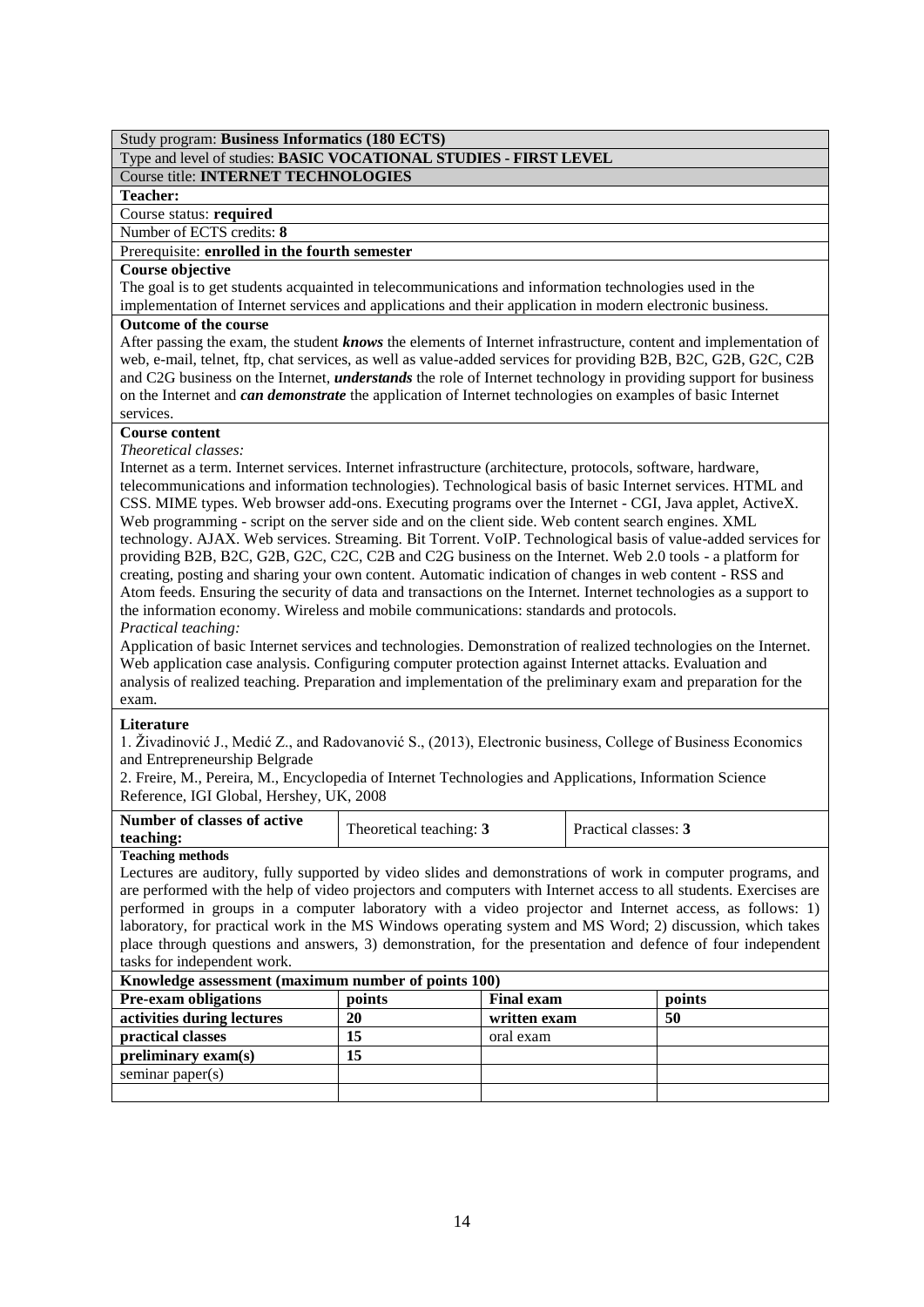## Type and level of studies: **BASIC VOCATIONAL STUDIES - FIRST LEVEL**

## Course title: **INTERNET TECHNOLOGIES**

## **Teacher:**

Course status: **required**

## Number of ECTS credits: **8**

## Prerequisite: **enrolled in the fourth semester**

## **Course objective**

The goal is to get students acquainted in telecommunications and information technologies used in the implementation of Internet services and applications and their application in modern electronic business.

## **Outcome of the course**

After passing the exam, the student *knows* the elements of Internet infrastructure, content and implementation of web, e-mail, telnet, ftp, chat services, as well as value-added services for providing B2B, B2C, G2B, G2C, C2B and C2G business on the Internet, *understands* the role of Internet technology in providing support for business on the Internet and *can demonstrate* the application of Internet technologies on examples of basic Internet services.

## **Course content**

## *Theoretical classes:*

Internet as a term. Internet services. Internet infrastructure (architecture, protocols, software, hardware, telecommunications and information technologies). Technological basis of basic Internet services. HTML and CSS. MIME types. Web browser add-ons. Executing programs over the Internet - CGI, Java applet, ActiveX. Web programming - script on the server side and on the client side. Web content search engines. XML technology. AJAX. Web services. Streaming. Bit Torrent. VoIP. Technological basis of value-added services for providing B2B, B2C, G2B, G2C, C2C, C2B and C2G business on the Internet. Web 2.0 tools - a platform for creating, posting and sharing your own content. Automatic indication of changes in web content - RSS and Atom feeds. Ensuring the security of data and transactions on the Internet. Internet technologies as a support to the information economy. Wireless and mobile communications: standards and protocols. *Practical teaching:*

Application of basic Internet services and technologies. Demonstration of realized technologies on the Internet. Web application case analysis. Configuring computer protection against Internet attacks. Evaluation and analysis of realized teaching. Preparation and implementation of the preliminary exam and preparation for the exam.

## **Literature**

1. Živadinović J., Medić Z., and Radovanović S., (2013), Electronic business, College of Business Economics and Entrepreneurship Belgrade

2. Freire, M., Pereira, M., Encyclopedia of Internet Technologies and Applications, Information Science Reference, IGI Global, Hershey, UK, 2008

| Number of classes of active<br>teaching: | Theoretical teaching: 3 | Practical classes: 3 |
|------------------------------------------|-------------------------|----------------------|
| Topohing mothods                         |                         |                      |

## **Teaching methods**

Lectures are auditory, fully supported by video slides and demonstrations of work in computer programs, and are performed with the help of video projectors and computers with Internet access to all students. Exercises are performed in groups in a computer laboratory with a video projector and Internet access, as follows: 1) laboratory, for practical work in the MS Windows operating system and MS Word; 2) discussion, which takes place through questions and answers, 3) demonstration, for the presentation and defence of four independent tasks for independent work.

| Knowledge assessment (maximum number of points 100) |        |                   |        |  |
|-----------------------------------------------------|--------|-------------------|--------|--|
| <b>Pre-exam obligations</b>                         | points | <b>Final exam</b> | points |  |
| activities during lectures                          | 20     | written exam      | 50     |  |
| practical classes                                   | 15     | oral exam         |        |  |
| preliminary exam(s)                                 | 15     |                   |        |  |
| seminar paper $(s)$                                 |        |                   |        |  |
|                                                     |        |                   |        |  |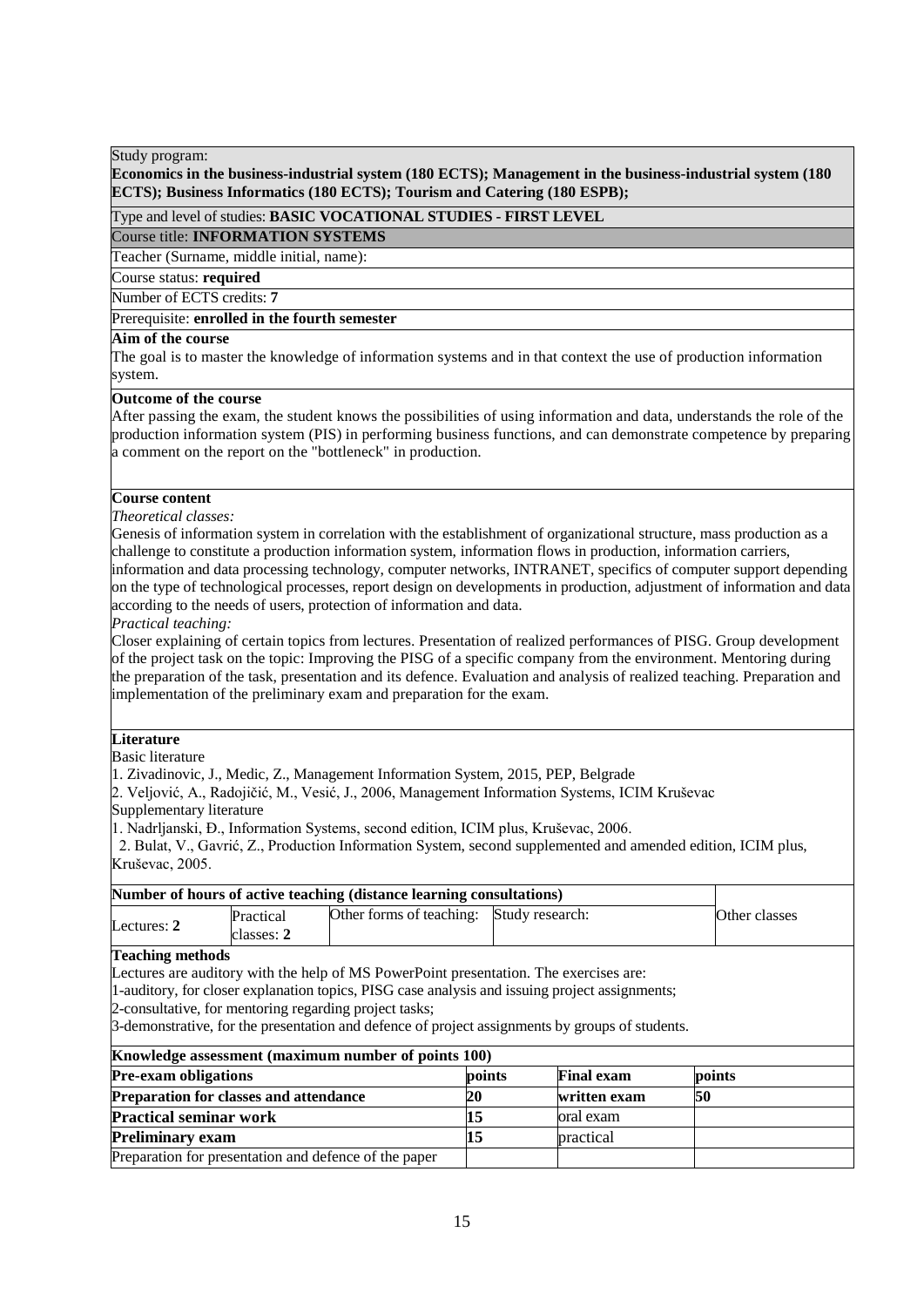## **Economics in the business-industrial system (180 ECTS); Management in the business-industrial system (180 ECTS); Business Informatics (180 ECTS); Tourism and Catering (180 ESPB);**

## Type and level of studies: **BASIC VOCATIONAL STUDIES - FIRST LEVEL**

Course title: **INFORMATION SYSTEMS**

Teacher (Surname, middle initial, name):

#### Course status: **required**

Number of ECTS credits: **7**

## Prerequisite: **enrolled in the fourth semester**

## **Aim of the course**

The goal is to master the knowledge of information systems and in that context the use of production information system.

## **Outcome of the course**

After passing the exam, the student knows the possibilities of using information and data, understands the role of the production information system (PIS) in performing business functions, and can demonstrate competence by preparing a comment on the report on the "bottleneck" in production.

## **Course content**

*Theoretical classes:*

Genesis of information system in correlation with the establishment of organizational structure, mass production as a challenge to constitute a production information system, information flows in production, information carriers,

information and data processing technology, computer networks, INTRANET, specifics of computer support depending on the type of technological processes, report design on developments in production, adjustment of information and data according to the needs of users, protection of information and data.

*Practical teaching:*

Closer explaining of certain topics from lectures. Presentation of realized performances of PISG. Group development of the project task on the topic: Improving the PISG of a specific company from the environment. Mentoring during the preparation of the task, presentation and its defence. Evaluation and analysis of realized teaching. Preparation and implementation of the preliminary exam and preparation for the exam.

## **Literature**

Basic literature

1. Zivadinovic, J., Medic, Z., Management Information System, 2015, PEP, Belgrade

2. Veljović, A., Radojičić, M., Vesić, J., 2006, Management Information Systems, ICIM Kruševac Supplementary literature

1. Nadrljanski, Đ., Information Systems, second edition, ICIM plus, Kruševac, 2006.

 2. Bulat, V., Gavrić, Z., Production Information System, second supplemented and amended edition, ICIM plus, Kruševac, 2005.

| Number of hours of active teaching (distance learning consultations) |                         |                                          |  |               |  |
|----------------------------------------------------------------------|-------------------------|------------------------------------------|--|---------------|--|
| Lectures: 2                                                          | Practical<br>classes: 2 | Other forms of teaching: Study research: |  | Other classes |  |
| Topohing mothoda                                                     |                         |                                          |  |               |  |

#### **Teaching methods**

Lectures are auditory with the help of MS PowerPoint presentation. The exercises are:

1-auditory, for closer explanation topics, PISG case analysis and issuing project assignments;

2-consultative, for mentoring regarding project tasks;

3-demonstrative, for the presentation and defence of project assignments by groups of students.

| Knowledge assessment (maximum number of points 100)   |        |                   |        |  |
|-------------------------------------------------------|--------|-------------------|--------|--|
| <b>Pre-exam obligations</b>                           | points | <b>Final exam</b> | points |  |
| <b>Preparation for classes and attendance</b>         | 20     | written exam      | 50     |  |
| <b>Practical seminar work</b>                         |        | loral exam        |        |  |
| <b>Preliminary exam</b>                               |        | practical         |        |  |
| Preparation for presentation and defence of the paper |        |                   |        |  |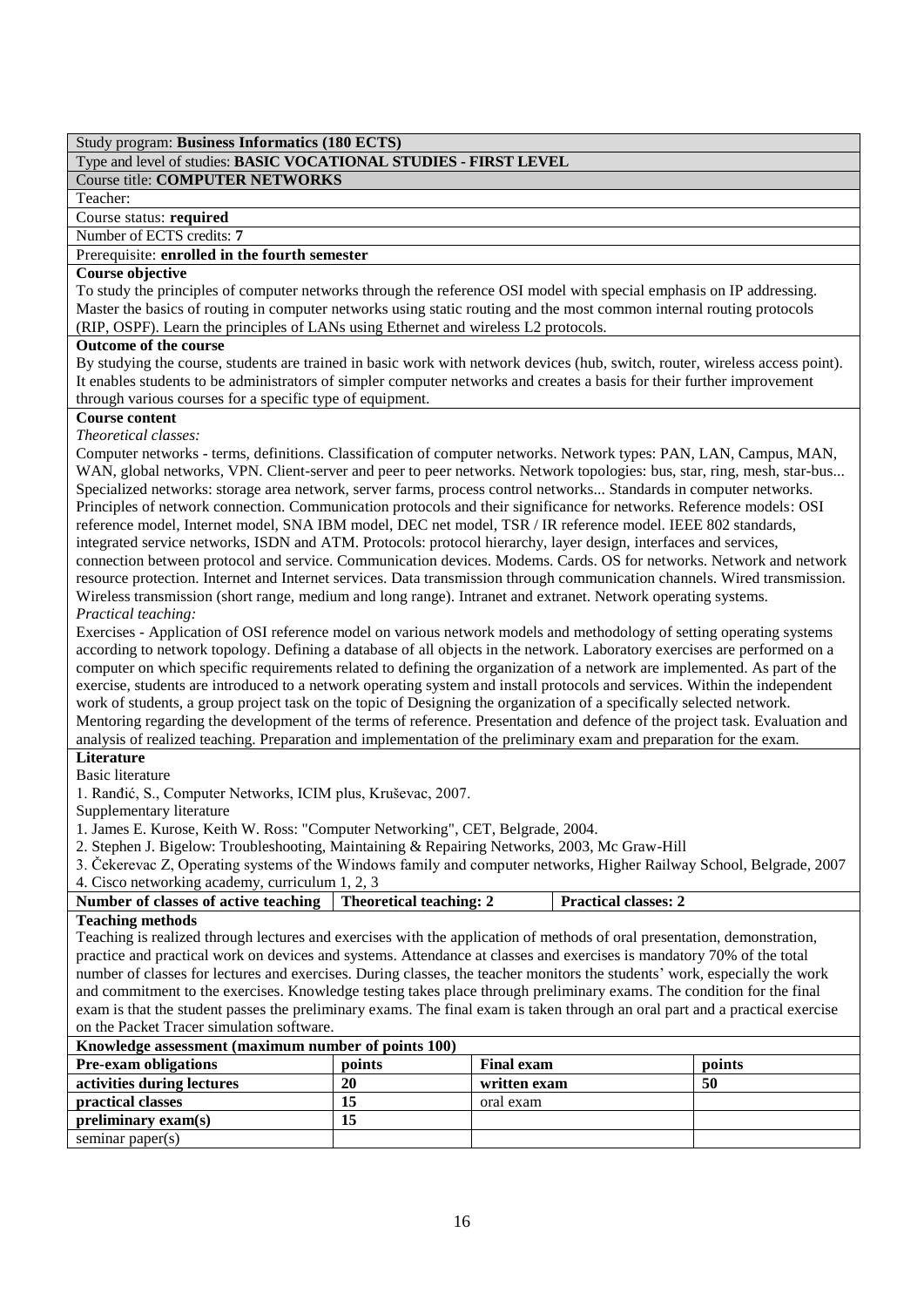## Type and level of studies: **BASIC VOCATIONAL STUDIES - FIRST LEVEL**

## Course title: **COMPUTER NETWORKS**

Teacher:

Course status: **required**

Number of ECTS credits: **7**

Prerequisite: **enrolled in the fourth semester**

## **Course objective**

To study the principles of computer networks through the reference OSI model with special emphasis on IP addressing. Master the basics of routing in computer networks using static routing and the most common internal routing protocols (RIP, OSPF). Learn the principles of LANs using Ethernet and wireless L2 protocols.

## **Outcome of the course**

By studying the course, students are trained in basic work with network devices (hub, switch, router, wireless access point). It enables students to be administrators of simpler computer networks and creates a basis for their further improvement through various courses for a specific type of equipment.

## **Course content**

*Theoretical classes:* 

Computer networks - terms, definitions. Classification of computer networks. Network types: PAN, LAN, Campus, MAN, WAN, global networks, VPN. Client-server and peer to peer networks. Network topologies: bus, star, ring, mesh, star-bus... Specialized networks: storage area network, server farms, process control networks... Standards in computer networks. Principles of network connection. Communication protocols and their significance for networks. Reference models: OSI reference model, Internet model, SNA IBM model, DEC net model, TSR / IR reference model. IEEE 802 standards, integrated service networks, ISDN and ATM. Protocols: protocol hierarchy, layer design, interfaces and services, connection between protocol and service. Communication devices. Modems. Cards. OS for networks. Network and network resource protection. Internet and Internet services. Data transmission through communication channels. Wired transmission. Wireless transmission (short range, medium and long range). Intranet and extranet. Network operating systems. *Practical teaching:*

Exercises - Application of OSI reference model on various network models and methodology of setting operating systems according to network topology. Defining a database of all objects in the network. Laboratory exercises are performed on a computer on which specific requirements related to defining the organization of a network are implemented. As part of the exercise, students are introduced to a network operating system and install protocols and services. Within the independent work of students, a group project task on the topic of Designing the organization of a specifically selected network. Mentoring regarding the development of the terms of reference. Presentation and defence of the project task. Evaluation and analysis of realized teaching. Preparation and implementation of the preliminary exam and preparation for the exam.

## **Literature**

## Basic literature

1. Ranđić, S., Computer Networks, ICIM plus, Kruševac, 2007.

Supplementary literature

1. James E. Kurose, Keith W. Ross: "Computer Networking", CET, Belgrade, 2004.

2. Stephen J. Bigelow: Troubleshooting, Maintaining & Repairing Networks, 2003, Mc Graw-Hill

3. Čekerevac Z, Operating systems of the Windows family and computer networks, Higher Railway School, Belgrade, 2007 4. Cisco networking academy, curriculum 1, 2, 3

| $\ldots$ chood not $\ldots$ change academy, cannot and $\ldots$ |  |                             |  |  |  |
|-----------------------------------------------------------------|--|-----------------------------|--|--|--|
| Number of classes of active teaching   Theoretical teaching: 2  |  | <b>Practical classes: 2</b> |  |  |  |
| . The conditional concepts of the S                             |  |                             |  |  |  |

#### **Teaching methods**

Teaching is realized through lectures and exercises with the application of methods of oral presentation, demonstration, practice and practical work on devices and systems. Attendance at classes and exercises is mandatory 70% of the total number of classes for lectures and exercises. During classes, the teacher monitors the students' work, especially the work and commitment to the exercises. Knowledge testing takes place through preliminary exams. The condition for the final exam is that the student passes the preliminary exams. The final exam is taken through an oral part and a practical exercise on the Packet Tracer simulation software.

| Knowledge assessment (maximum number of points 100) |                                       |              |    |  |  |  |
|-----------------------------------------------------|---------------------------------------|--------------|----|--|--|--|
| <b>Pre-exam obligations</b>                         | <b>Final exam</b><br>points<br>points |              |    |  |  |  |
| activities during lectures                          | 20                                    | written exam | 50 |  |  |  |
| practical classes                                   | 15                                    | oral exam    |    |  |  |  |
| preliminary exam(s)                                 | 15                                    |              |    |  |  |  |
| seminar paper $(s)$                                 |                                       |              |    |  |  |  |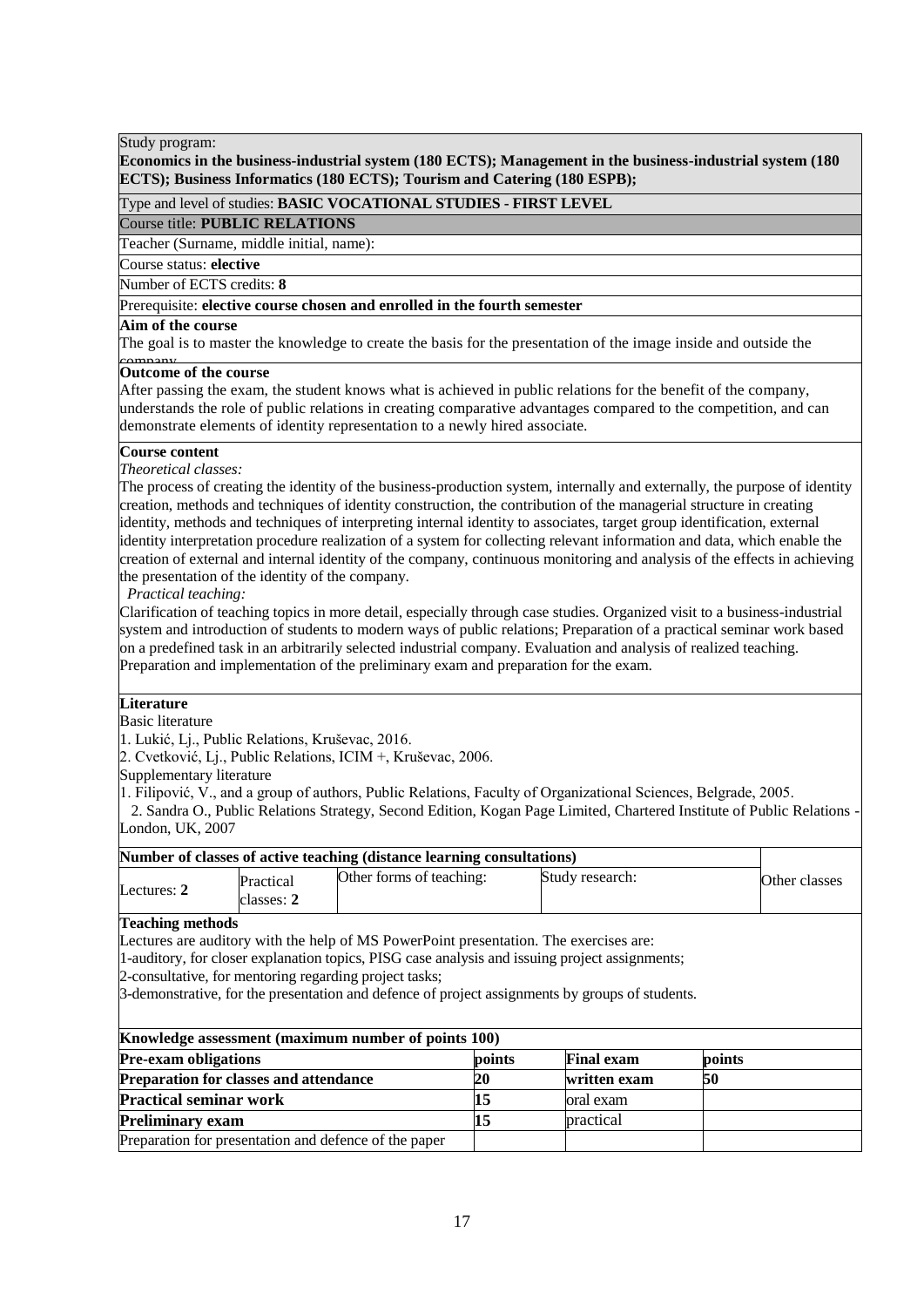## **Economics in the business-industrial system (180 ECTS); Management in the business-industrial system (180 ECTS); Business Informatics (180 ECTS); Tourism and Catering (180 ESPB);**

Type and level of studies: **BASIC VOCATIONAL STUDIES - FIRST LEVEL**

Course title: **PUBLIC RELATIONS**

Teacher (Surname, middle initial, name):

Course status: **elective**

Number of ECTS credits: 8

## Prerequisite: **elective course chosen and enrolled in the fourth semester**

# Aim of the course

The goal is to master the knowledge to create the basis for the presentation of the image inside and outside the

# company. **Outcome of the course**

After passing the exam, the student knows what is achieved in public relations for the benefit of the company, understands the role of public relations in creating comparative advantages compared to the competition, and can demonstrate elements of identity representation to a newly hired associate.

## **Course content**

*Theoretical classes:*

The process of creating the identity of the business-production system, internally and externally, the purpose of identity creation, methods and techniques of identity construction, the contribution of the managerial structure in creating identity, methods and techniques of interpreting internal identity to associates, target group identification, external identity interpretation procedure realization of a system for collecting relevant information and data, which enable the creation of external and internal identity of the company, continuous monitoring and analysis of the effects in achieving the presentation of the identity of the company.

*Practical teaching:*

Clarification of teaching topics in more detail, especially through case studies. Organized visit to a business-industrial system and introduction of students to modern ways of public relations; Preparation of a practical seminar work based on a predefined task in an arbitrarily selected industrial company. Evaluation and analysis of realized teaching. Preparation and implementation of the preliminary exam and preparation for the exam.

## **Literature**

Basic literature

1. Lukić, Lj., Public Relations, Kruševac, 2016.

2. Cvetković, Lj., Public Relations, ICIM +, Kruševac, 2006.

Supplementary literature

1. Filipović, V., and a group of authors, Public Relations, Faculty of Organizational Sciences, Belgrade, 2005.

 2. Sandra O., Public Relations Strategy, Second Edition, Kogan Page Limited, Chartered Institute of Public Relations - London, UK, 2007

| Number of classes of active teaching (distance learning consultations) |                         |                          |                 |               |
|------------------------------------------------------------------------|-------------------------|--------------------------|-----------------|---------------|
| Lectures: $2$                                                          | Practical<br>classes: 2 | Other forms of teaching: | Study research: | Other classes |

## **Teaching methods**

Lectures are auditory with the help of MS PowerPoint presentation. The exercises are:

1-auditory, for closer explanation topics, PISG case analysis and issuing project assignments;

2-consultative, for mentoring regarding project tasks;

3-demonstrative, for the presentation and defence of project assignments by groups of students.

| Knowledge assessment (maximum number of points 100)                  |    |              |    |  |  |  |
|----------------------------------------------------------------------|----|--------------|----|--|--|--|
| <b>Pre-exam obligations</b><br><b>Final exam</b><br>points<br>points |    |              |    |  |  |  |
| <b>Preparation for classes and attendance</b>                        | 20 | written exam | 50 |  |  |  |
| <b>Practical seminar work</b>                                        |    | oral exam    |    |  |  |  |
| <b>Preliminary exam</b>                                              |    | practical    |    |  |  |  |
| Preparation for presentation and defence of the paper                |    |              |    |  |  |  |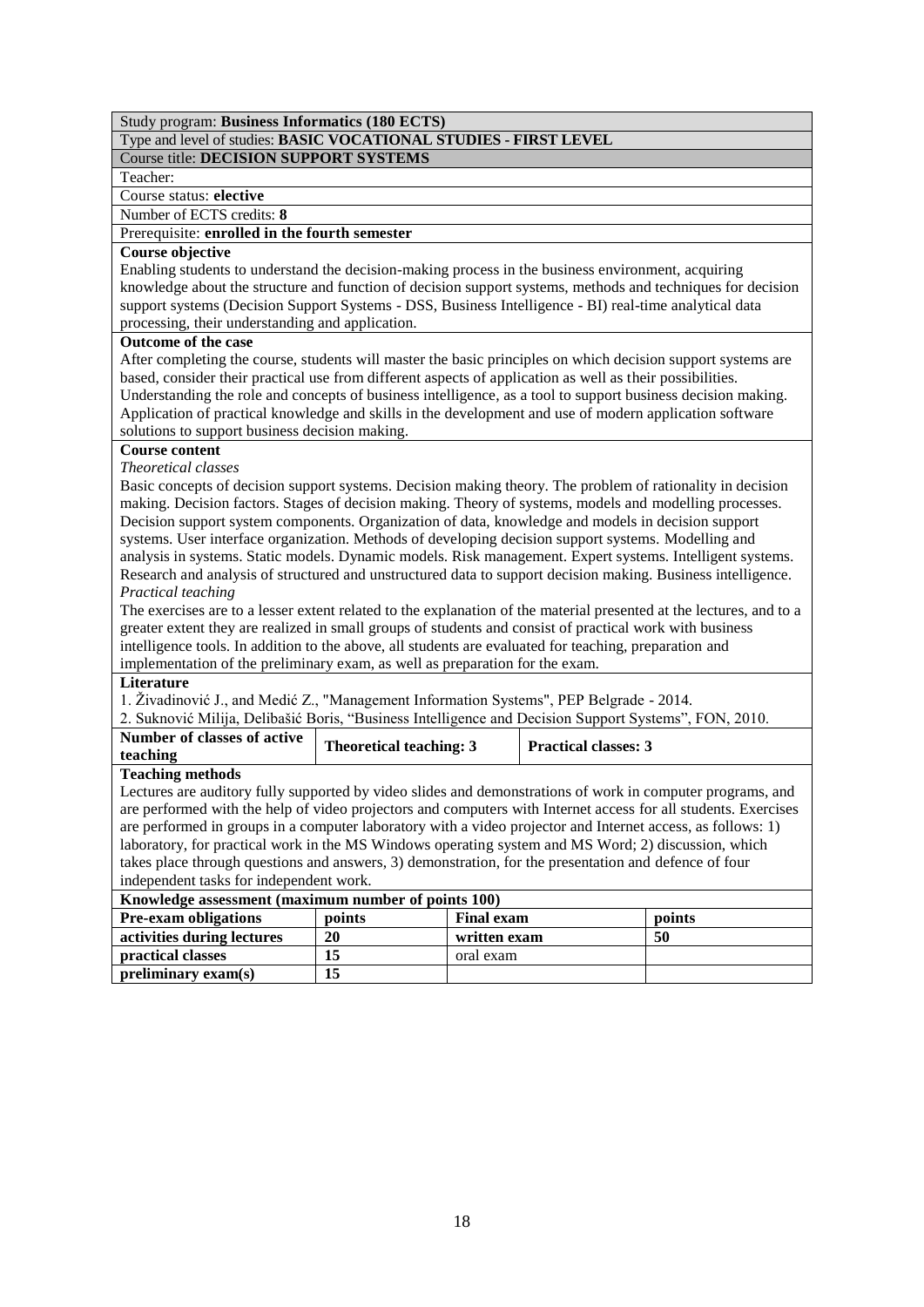|  | Type and level of studies: BASIC VOCATIONAL STUDIES - FIRST LEVEL |  |
|--|-------------------------------------------------------------------|--|
|--|-------------------------------------------------------------------|--|

Course title: **DECISION SUPPORT SYSTEMS**

## Teacher:

Course status: **elective**

Number of ECTS credits: **8** Prerequisite: **enrolled in the fourth semester**

## **Course objective**

Enabling students to understand the decision-making process in the business environment, acquiring knowledge about the structure and function of decision support systems, methods and techniques for decision support systems (Decision Support Systems - DSS, Business Intelligence - BI) real-time analytical data processing, their understanding and application.

## **Outcome of the case**

After completing the course, students will master the basic principles on which decision support systems are based, consider their practical use from different aspects of application as well as their possibilities. Understanding the role and concepts of business intelligence, as a tool to support business decision making. Application of practical knowledge and skills in the development and use of modern application software solutions to support business decision making.

## **Course content**

*Theoretical classes* 

Basic concepts of decision support systems. Decision making theory. The problem of rationality in decision making. Decision factors. Stages of decision making. Theory of systems, models and modelling processes. Decision support system components. Organization of data, knowledge and models in decision support systems. User interface organization. Methods of developing decision support systems. Modelling and analysis in systems. Static models. Dynamic models. Risk management. Expert systems. Intelligent systems. Research and analysis of structured and unstructured data to support decision making. Business intelligence. *Practical teaching*

The exercises are to a lesser extent related to the explanation of the material presented at the lectures, and to a greater extent they are realized in small groups of students and consist of practical work with business intelligence tools. In addition to the above, all students are evaluated for teaching, preparation and implementation of the preliminary exam, as well as preparation for the exam.

## **Literature**

1. Živadinović J., and Medić Z., "Management Information Systems", PEP Belgrade - 2014.

|  | 2. Suknović Milija, Delibašić Boris, "Business Intelligence and Decision Support Systems", FON, 2010. |  |
|--|-------------------------------------------------------------------------------------------------------|--|
|  |                                                                                                       |  |

| Number of classes of active<br>teaching | Theoretical teaching: 3 | <b>Practical classes: 3</b> |
|-----------------------------------------|-------------------------|-----------------------------|
| <b>Teaching methods</b>                 |                         |                             |

Lectures are auditory fully supported by video slides and demonstrations of work in computer programs, and are performed with the help of video projectors and computers with Internet access for all students. Exercises are performed in groups in a computer laboratory with a video projector and Internet access, as follows: 1) laboratory, for practical work in the MS Windows operating system and MS Word; 2) discussion, which takes place through questions and answers, 3) demonstration, for the presentation and defence of four independent tasks for independent work.

| Knowledge assessment (maximum number of points 100)                  |    |              |    |  |  |  |
|----------------------------------------------------------------------|----|--------------|----|--|--|--|
| <b>Pre-exam obligations</b><br><b>Final exam</b><br>points<br>points |    |              |    |  |  |  |
| activities during lectures                                           | 20 | written exam | 50 |  |  |  |
| <b>practical classes</b>                                             |    | oral exam    |    |  |  |  |
| preliminary exam(s)                                                  |    |              |    |  |  |  |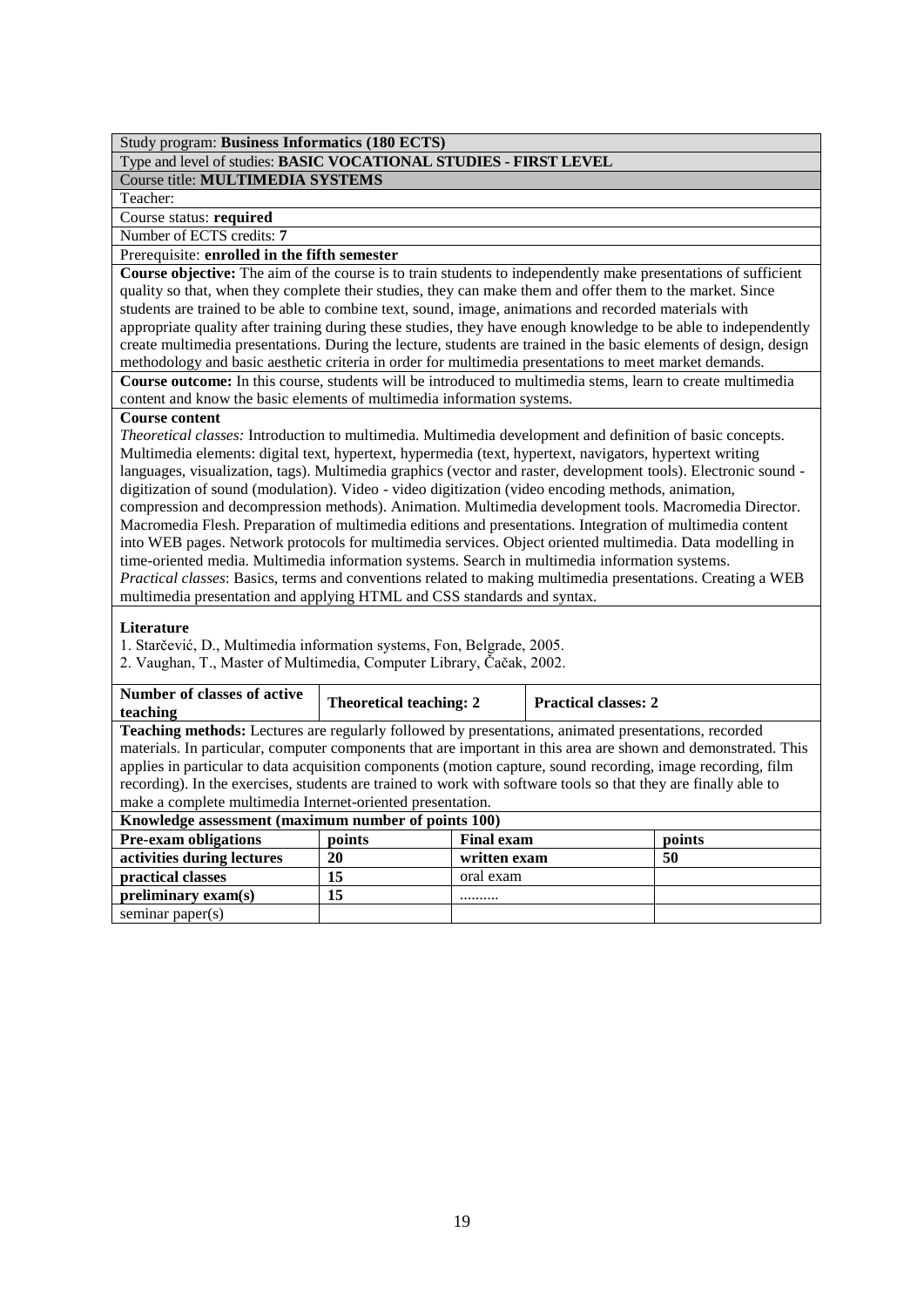Type and level of studies: **BASIC VOCATIONAL STUDIES - FIRST LEVEL**

## Course title: **MULTIMEDIA SYSTEMS**

Teacher:

Course status: **required**

Number of ECTS credits: **7**

## Prerequisite: **enrolled in the fifth semester**

**Course objective:** The aim of the course is to train students to independently make presentations of sufficient quality so that, when they complete their studies, they can make them and offer them to the market. Since students are trained to be able to combine text, sound, image, animations and recorded materials with appropriate quality after training during these studies, they have enough knowledge to be able to independently create multimedia presentations. During the lecture, students are trained in the basic elements of design, design methodology and basic aesthetic criteria in order for multimedia presentations to meet market demands. **Course outcome:** In this course, students will be introduced to multimedia stems, learn to create multimedia

content and know the basic elements of multimedia information systems.

## **Course content**

*Theoretical classes:* Introduction to multimedia. Multimedia development and definition of basic concepts. Multimedia elements: digital text, hypertext, hypermedia (text, hypertext, navigators, hypertext writing languages, visualization, tags). Multimedia graphics (vector and raster, development tools). Electronic sound digitization of sound (modulation). Video - video digitization (video encoding methods, animation, compression and decompression methods). Animation. Multimedia development tools. Macromedia Director. Macromedia Flesh. Preparation of multimedia editions and presentations. Integration of multimedia content into WEB pages. Network protocols for multimedia services. Object oriented multimedia. Data modelling in time-oriented media. Multimedia information systems. Search in multimedia information systems. *Practical classes*: Basics, terms and conventions related to making multimedia presentations. Creating a WEB multimedia presentation and applying HTML and CSS standards and syntax.

## **Literature**

1. Starčević, D., Multimedia information systems, Fon, Belgrade, 2005.

2. Vaughan, T., Master of Multimedia, Computer Library, Čačak, 2002.

| Number of classes of active<br>teaching                                                                         | <b>Theoretical teaching: 2</b> |                   | <b>Practical classes: 2</b> |        |  |
|-----------------------------------------------------------------------------------------------------------------|--------------------------------|-------------------|-----------------------------|--------|--|
| Teaching methods: Lectures are regularly followed by presentations, animated presentations, recorded            |                                |                   |                             |        |  |
| materials. In particular, computer components that are important in this area are shown and demonstrated. This  |                                |                   |                             |        |  |
| applies in particular to data acquisition components (motion capture, sound recording, image recording, film    |                                |                   |                             |        |  |
| recording). In the exercises, students are trained to work with software tools so that they are finally able to |                                |                   |                             |        |  |
| make a complete multimedia Internet-oriented presentation.                                                      |                                |                   |                             |        |  |
| Knowledge assessment (maximum number of points 100)                                                             |                                |                   |                             |        |  |
| <b>Pre-exam obligations</b>                                                                                     | points                         | <b>Final exam</b> |                             | points |  |
| activities during lectures<br>50<br>20<br>written exam                                                          |                                |                   |                             |        |  |
| 15<br>practical classes<br>oral exam                                                                            |                                |                   |                             |        |  |
| preliminary exam(s)                                                                                             | 15                             |                   |                             |        |  |
| seminar paper(s)                                                                                                |                                |                   |                             |        |  |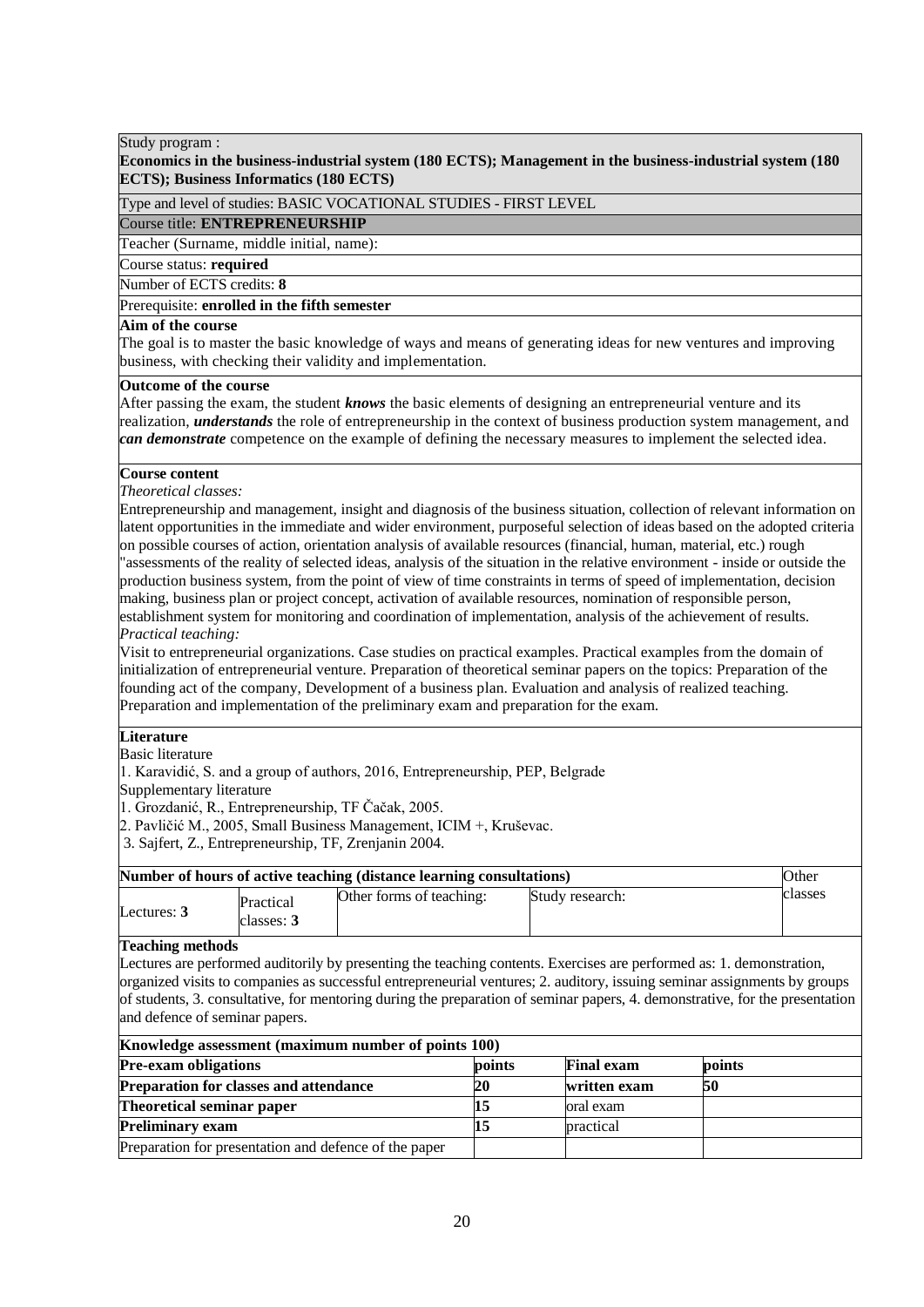## **Economics in the business-industrial system (180 ECTS); Management in the business-industrial system (180 ECTS); Business Informatics (180 ECTS)**

Type and level of studies: BASIC VOCATIONAL STUDIES - FIRST LEVEL

## Course title: **ENTREPRENEURSHIP**

Teacher (Surname, middle initial, name):

## Course status: **required**

Number of ECTS credits: **8**

## Prerequisite: **enrolled in the fifth semester**

## **Aim of the course**

The goal is to master the basic knowledge of ways and means of generating ideas for new ventures and improving business, with checking their validity and implementation.

## **Outcome of the course**

After passing the exam, the student *knows* the basic elements of designing an entrepreneurial venture and its realization, *understands* the role of entrepreneurship in the context of business production system management, and *can demonstrate* competence on the example of defining the necessary measures to implement the selected idea.

## **Course content**

*Theoretical classes:*

Entrepreneurship and management, insight and diagnosis of the business situation, collection of relevant information on latent opportunities in the immediate and wider environment, purposeful selection of ideas based on the adopted criteria on possible courses of action, orientation analysis of available resources (financial, human, material, etc.) rough "assessments of the reality of selected ideas, analysis of the situation in the relative environment - inside or outside the production business system, from the point of view of time constraints in terms of speed of implementation, decision making, business plan or project concept, activation of available resources, nomination of responsible person, establishment system for monitoring and coordination of implementation, analysis of the achievement of results. *Practical teaching:*

Visit to entrepreneurial organizations. Case studies on practical examples. Practical examples from the domain of initialization of entrepreneurial venture. Preparation of theoretical seminar papers on the topics: Preparation of the founding act of the company, Development of a business plan. Evaluation and analysis of realized teaching. Preparation and implementation of the preliminary exam and preparation for the exam.

## **Literature**

Basic literature

1. Karavidić, S. and a group of authors, 2016, Entrepreneurship, PEP, Belgrade

Supplementary literature

1. Grozdanić, R., Entrepreneurship, TF Čačak, 2005.

2. Pavličić M., 2005, Small Business Management, ICIM +, Kruševac.

3. Sajfert, Z., Entrepreneurship, TF, Zrenjanin 2004.

| Number of hours of active teaching (distance learning consultations) |               |                         |                          |                 | Other   |
|----------------------------------------------------------------------|---------------|-------------------------|--------------------------|-----------------|---------|
|                                                                      | Lectures: $3$ | Practical<br>classes: 3 | Other forms of teaching: | Study research: | classes |

### **Teaching methods**

Lectures are performed auditorily by presenting the teaching contents. Exercises are performed as: 1. demonstration, organized visits to companies as successful entrepreneurial ventures; 2. auditory, issuing seminar assignments by groups of students, 3. consultative, for mentoring during the preparation of seminar papers, 4. demonstrative, for the presentation and defence of seminar papers.

| Knowledge assessment (maximum number of points 100)                  |    |              |    |  |  |
|----------------------------------------------------------------------|----|--------------|----|--|--|
| <b>Pre-exam obligations</b><br><b>Final exam</b><br>points<br>points |    |              |    |  |  |
| <b>Preparation for classes and attendance</b>                        | 20 | written exam | 50 |  |  |
| Theoretical seminar paper                                            |    | oral exam    |    |  |  |
| <b>Preliminary exam</b>                                              |    | practical    |    |  |  |
| Preparation for presentation and defence of the paper                |    |              |    |  |  |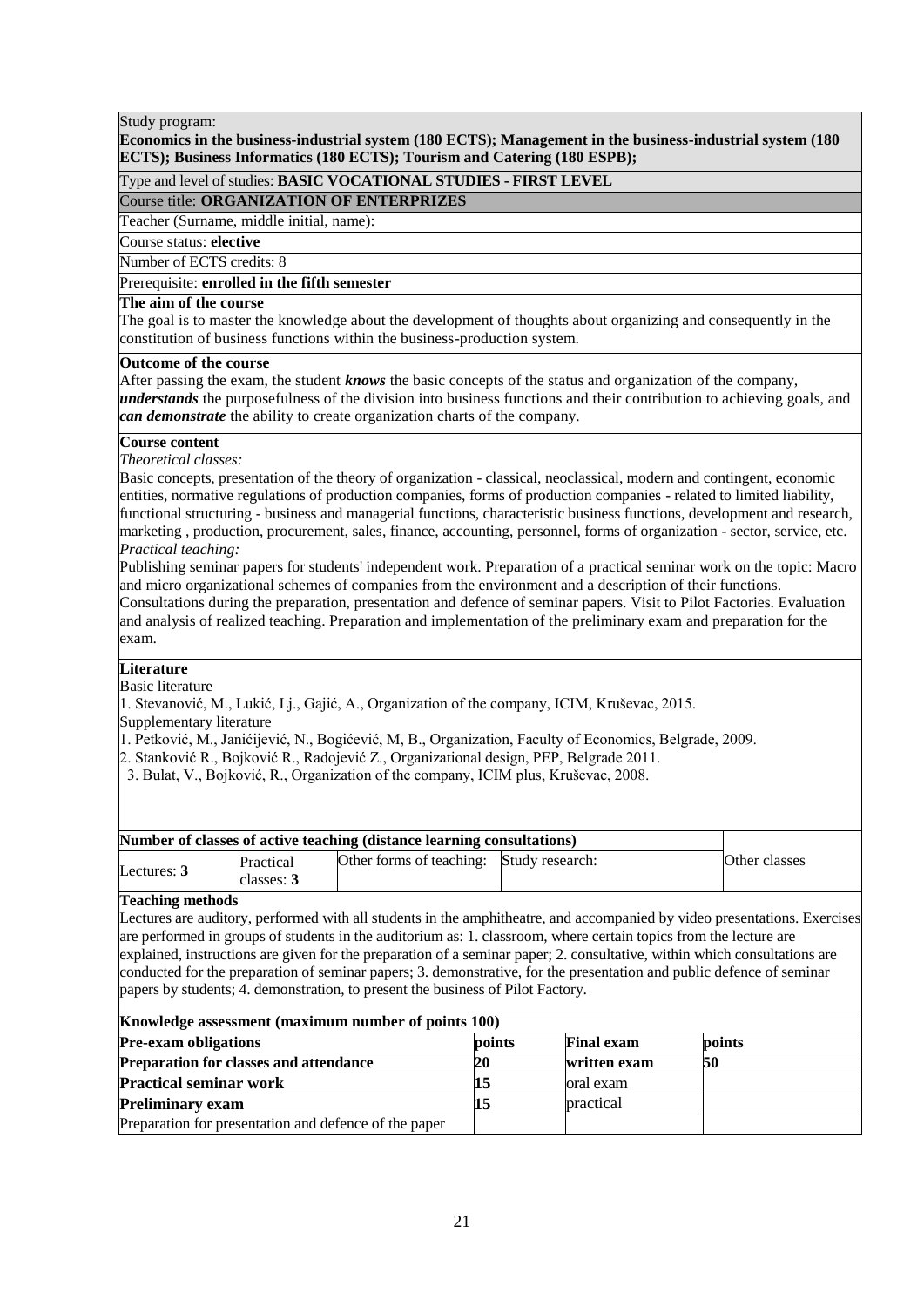## **Economics in the business-industrial system (180 ECTS); Management in the business-industrial system (180 ECTS); Business Informatics (180 ECTS); Tourism and Catering (180 ESPB);**

## Type and level of studies: **BASIC VOCATIONAL STUDIES - FIRST LEVEL**

## Course title: **ORGANIZATION OF ENTERPRIZES**

Teacher (Surname, middle initial, name):

## Course status: **elective**

Number of ECTS credits: 8

## Prerequisite: **enrolled in the fifth semester**

## **The aim of the course**

The goal is to master the knowledge about the development of thoughts about organizing and consequently in the constitution of business functions within the business-production system.

## **Outcome of the course**

After passing the exam, the student *knows* the basic concepts of the status and organization of the company, *understands* the purposefulness of the division into business functions and their contribution to achieving goals, and *can demonstrate* the ability to create organization charts of the company.

## **Course content**

*Theoretical classes:*

Basic concepts, presentation of the theory of organization - classical, neoclassical, modern and contingent, economic entities, normative regulations of production companies, forms of production companies - related to limited liability, functional structuring - business and managerial functions, characteristic business functions, development and research, marketing , production, procurement, sales, finance, accounting, personnel, forms of organization - sector, service, etc. *Practical teaching:*

Publishing seminar papers for students' independent work. Preparation of a practical seminar work on the topic: Macro and micro organizational schemes of companies from the environment and a description of their functions. Consultations during the preparation, presentation and defence of seminar papers. Visit to Pilot Factories. Evaluation and analysis of realized teaching. Preparation and implementation of the preliminary exam and preparation for the

# exam.

## **Literature**

Basic literature

1. Stevanović, M., Lukić, Lj., Gajić, A., Organization of the company, ICIM, Kruševac, 2015.

Supplementary literature

1. Petković, M., Janićijević, N., Bogićević, M, B., Organization, Faculty of Economics, Belgrade, 2009.

- 2. Stanković R., Bojković R., Radojević Z., Organizational design, PEP, Belgrade 2011.
- 3. Bulat, V., Bojković, R., Organization of the company, ICIM plus, Kruševac, 2008.

| Number of classes of active teaching (distance learning consultations) |                         |                                          |  |               |
|------------------------------------------------------------------------|-------------------------|------------------------------------------|--|---------------|
| Lectures: $3$                                                          | Practical<br>classes: 3 | Other forms of teaching: Study research: |  | Other classes |

## **Teaching methods**

Lectures are auditory, performed with all students in the amphitheatre, and accompanied by video presentations. Exercises are performed in groups of students in the auditorium as: 1. classroom, where certain topics from the lecture are explained, instructions are given for the preparation of a seminar paper; 2. consultative, within which consultations are conducted for the preparation of seminar papers; 3. demonstrative, for the presentation and public defence of seminar papers by students; 4. demonstration, to present the business of Pilot Factory.

| Knowledge assessment (maximum number of points 100)                  |    |              |    |  |  |  |
|----------------------------------------------------------------------|----|--------------|----|--|--|--|
| <b>Pre-exam obligations</b><br><b>Final exam</b><br>points<br>points |    |              |    |  |  |  |
| <b>Preparation for classes and attendance</b>                        | 20 | written exam | 50 |  |  |  |
| <b>Practical seminar work</b>                                        |    | oral exam    |    |  |  |  |
| <b>Preliminary exam</b>                                              |    | practical    |    |  |  |  |
| Preparation for presentation and defence of the paper                |    |              |    |  |  |  |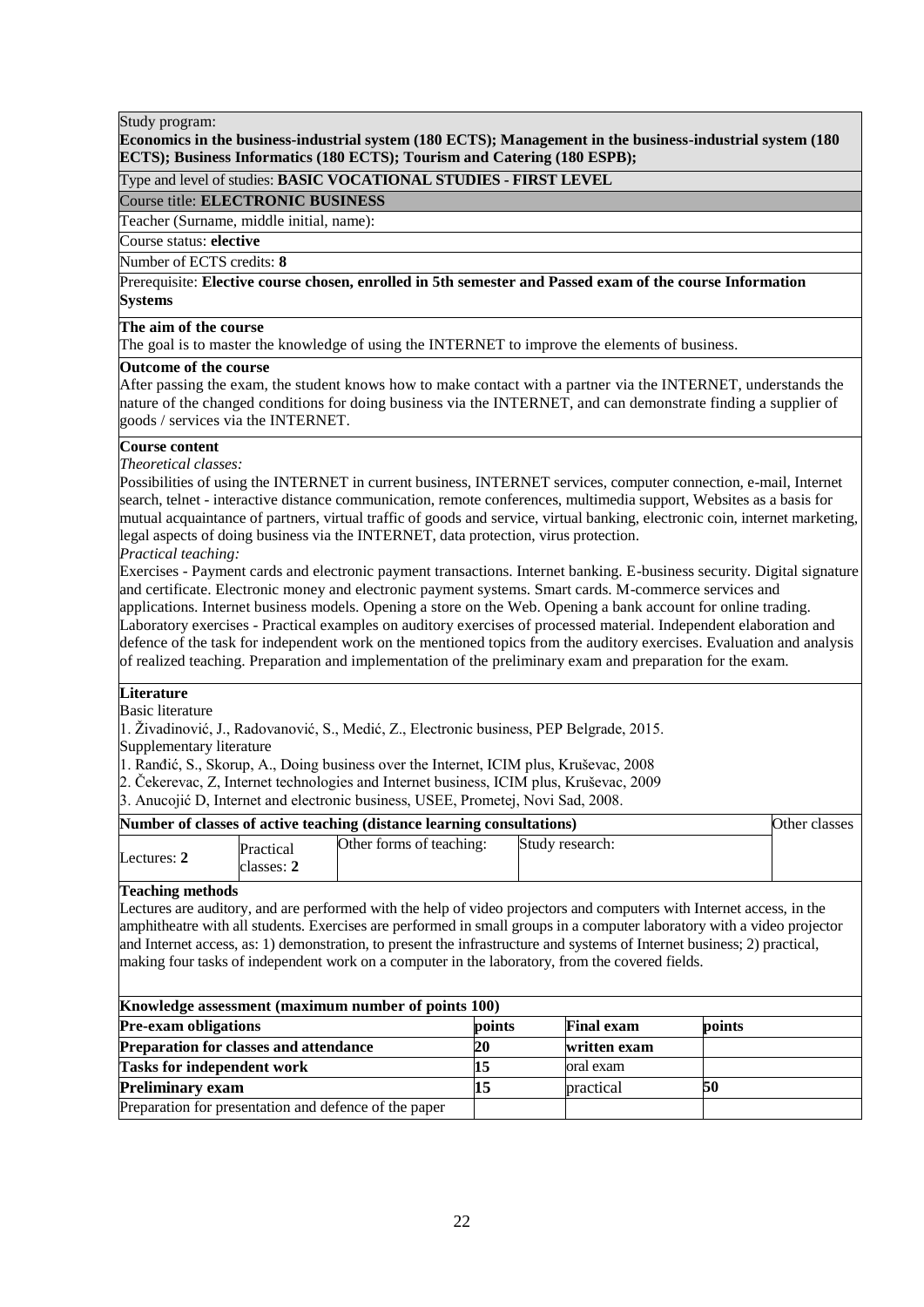## **Economics in the business-industrial system (180 ECTS); Management in the business-industrial system (180 ECTS); Business Informatics (180 ECTS); Tourism and Catering (180 ESPB);**

## Type and level of studies: **BASIC VOCATIONAL STUDIES - FIRST LEVEL**

## Course title: **ELECTRONIC BUSINESS**

Teacher (Surname, middle initial, name):

## Course status: **elective**

## Number of ECTS credits: 8

Number of ECTS credits: 8<br>Prerequisite: Elective course chosen, enrolled in 5th semester and Passed exam of the course Information Course status: required **Systems**

## **The aim of the course**

The goal is to master the knowledge of using the INTERNET to improve the elements of business.

## **Outcome of the course**

After passing the exam, the student knows how to make contact with a partner via the INTERNET, understands the nature of the changed conditions for doing business via the INTERNET, and can demonstrate finding a supplier of goods / services via the INTERNET.

## **Course content**

*Theoretical classes:*

Possibilities of using the INTERNET in current business, INTERNET services, computer connection, e-mail, Internet search, telnet - interactive distance communication, remote conferences, multimedia support, Websites as a basis for mutual acquaintance of partners, virtual traffic of goods and service, virtual banking, electronic coin, internet marketing, legal aspects of doing business via the INTERNET, data protection, virus protection.

## *Practical teaching:*

Exercises - Payment cards and electronic payment transactions. Internet banking. E-business security. Digital signature and certificate. Electronic money and electronic payment systems. Smart cards. M-commerce services and applications. Internet business models. Opening a store on the Web. Opening a bank account for online trading. Laboratory exercises - Practical examples on auditory exercises of processed material. Independent elaboration and defence of the task for independent work on the mentioned topics from the auditory exercises. Evaluation and analysis of realized teaching. Preparation and implementation of the preliminary exam and preparation for the exam.

## **Literature**

Basic literature

1. Živadinović, J., Radovanović, S., Medić, Z., Electronic business, PEP Belgrade, 2015.

Supplementary literature

1. Ranđić, S., Skorup, A., Doing business over the Internet, ICIM plus, Kruševac, 2008

- 2. Čekerevac, Z, Internet technologies and Internet business, ICIM plus, Kruševac, 2009
- 3. Anucojić D, Internet and electronic business, USEE, Prometej, Novi Sad, 2008.

| Number of classes of active teaching (distance learning consultations) |                         |                          |                 | Other classes |
|------------------------------------------------------------------------|-------------------------|--------------------------|-----------------|---------------|
| Lectures: $2$                                                          | Practical<br>classes: 2 | Other forms of teaching: | Study research: |               |

## **Teaching methods**

Lectures are auditory, and are performed with the help of video projectors and computers with Internet access, in the amphitheatre with all students. Exercises are performed in small groups in a computer laboratory with a video projector and Internet access, as: 1) demonstration, to present the infrastructure and systems of Internet business; 2) practical, making four tasks of independent work on a computer in the laboratory, from the covered fields.

| Knowledge assessment (maximum number of points 100)   |           |                   |        |  |  |
|-------------------------------------------------------|-----------|-------------------|--------|--|--|
| <b>Pre-exam obligations</b>                           | points    | <b>Final exam</b> | points |  |  |
| <b>Preparation for classes and attendance</b>         | <b>20</b> | written exam      |        |  |  |
| <b>Tasks for independent work</b>                     |           | oral exam         |        |  |  |
| <b>Preliminary exam</b>                               |           | practical         | 50     |  |  |
| Preparation for presentation and defence of the paper |           |                   |        |  |  |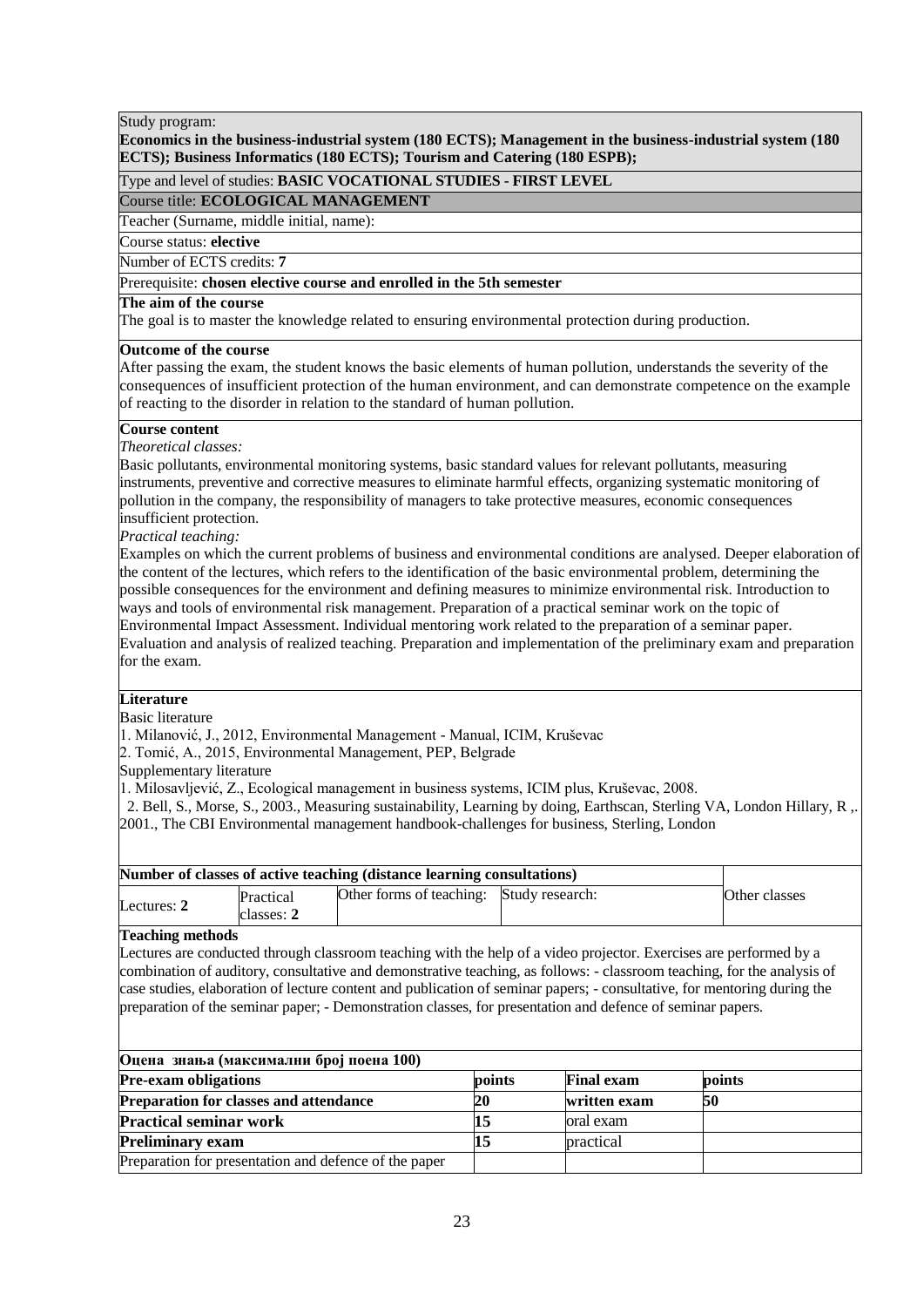## **Economics in the business-industrial system (180 ECTS); Management in the business-industrial system (180 ECTS); Business Informatics (180 ECTS); Tourism and Catering (180 ESPB);**

## Type and level of studies: **BASIC VOCATIONAL STUDIES - FIRST LEVEL**

## Course title: **ECOLOGICAL MANAGEMENT**

Teacher (Surname, middle initial, name):

## Course status: **elective**

Number of ECTS credits: **7**

## Prerequisite: **chosen elective course and enrolled in the 5th semester**

## **The aim of the course**

The goal is to master the knowledge related to ensuring environmental protection during production.

## **Outcome of the course**

After passing the exam, the student knows the basic elements of human pollution, understands the severity of the consequences of insufficient protection of the human environment, and can demonstrate competence on the example of reacting to the disorder in relation to the standard of human pollution.

## **Course content**

## *Theoretical classes:*

Basic pollutants, environmental monitoring systems, basic standard values for relevant pollutants, measuring instruments, preventive and corrective measures to eliminate harmful effects, organizing systematic monitoring of pollution in the company, the responsibility of managers to take protective measures, economic consequences insufficient protection.

## *Practical teaching:*

Examples on which the current problems of business and environmental conditions are analysed. Deeper elaboration of the content of the lectures, which refers to the identification of the basic environmental problem, determining the possible consequences for the environment and defining measures to minimize environmental risk. Introduction to ways and tools of environmental risk management. Preparation of a practical seminar work on the topic of Environmental Impact Assessment. Individual mentoring work related to the preparation of a seminar paper. Evaluation and analysis of realized teaching. Preparation and implementation of the preliminary exam and preparation for the exam.

## **Literature**

Basic literature

1. Milanović, J., 2012, Environmental Management - Manual, ICIM, Kruševac

2. Tomić, A., 2015, Environmental Management, PEP, Belgrade

Supplementary literature

1. Milosavljević, Z., Ecological management in business systems, ICIM plus, Kruševac, 2008.

 2. Bell, S., Morse, S., 2003., Measuring sustainability, Learning by doing, Earthscan, Sterling VA, London Hillary, R ,. 2001., The CBI Environmental management handbook-challenges for business, Sterling, London

| Number of classes of active teaching (distance learning consultations) |            |                                          |  |               |
|------------------------------------------------------------------------|------------|------------------------------------------|--|---------------|
| Lectures: $2$                                                          | Practical  | Other forms of teaching: Study research: |  | Other classes |
|                                                                        | classes: 2 |                                          |  |               |

#### **Teaching methods**

Lectures are conducted through classroom teaching with the help of a video projector. Exercises are performed by a combination of auditory, consultative and demonstrative teaching, as follows: - classroom teaching, for the analysis of case studies, elaboration of lecture content and publication of seminar papers; - consultative, for mentoring during the preparation of the seminar paper; - Demonstration classes, for presentation and defence of seminar papers.

| Оцена знања (максимални број поена 100)               |           |                   |        |  |  |
|-------------------------------------------------------|-----------|-------------------|--------|--|--|
| <b>Pre-exam obligations</b>                           | points    | <b>Final exam</b> | points |  |  |
| <b>Preparation for classes and attendance</b>         | <b>20</b> | written exam      | 50     |  |  |
| <b>Practical seminar work</b>                         |           | oral exam         |        |  |  |
| <b>Preliminary exam</b>                               |           | practical         |        |  |  |
| Preparation for presentation and defence of the paper |           |                   |        |  |  |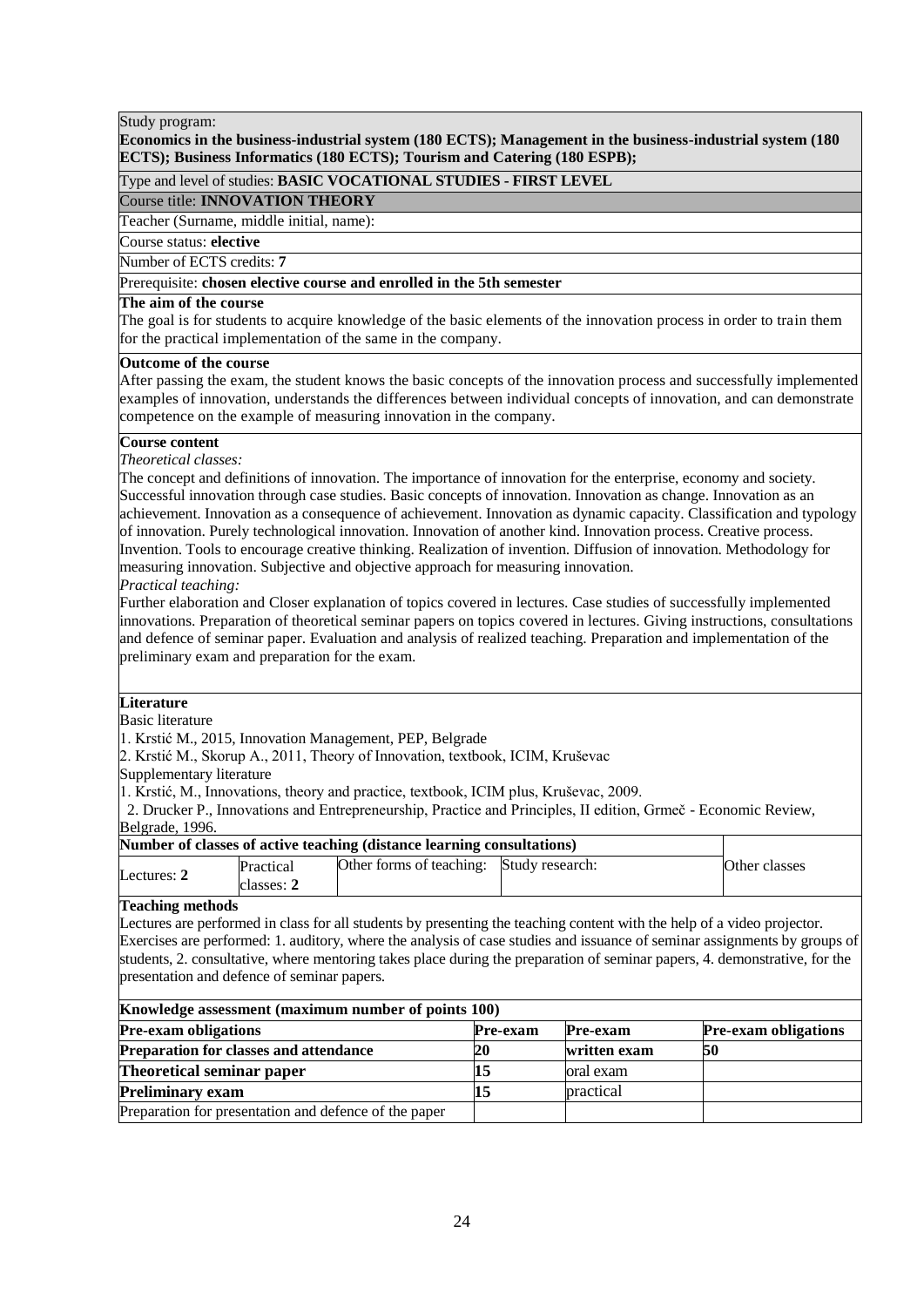## **Economics in the business-industrial system (180 ECTS); Management in the business-industrial system (180 ECTS); Business Informatics (180 ECTS); Tourism and Catering (180 ESPB);**

## Type and level of studies: **BASIC VOCATIONAL STUDIES - FIRST LEVEL**

## Course title: **INNOVATION THEORY**

Teacher (Surname, middle initial, name):

## **The Course status: elective**

Number of ECTS credits: 7

# Number of ECTS credits: 7<br>Prerequisite: **chosen elective course and enrolled in the 5th semester**

# The aim of the course

The goal is for students to acquire knowledge of the basic elements of the innovation process in order to train them for the practical implementation of the same in the company.

## **Outcome of the course**

After passing the exam, the student knows the basic concepts of the innovation process and successfully implemented examples of innovation, understands the differences between individual concepts of innovation, and can demonstrate competence on the example of measuring innovation in the company.

## **Course content**

*Theoretical classes:*

The concept and definitions of innovation. The importance of innovation for the enterprise, economy and society. Successful innovation through case studies. Basic concepts of innovation. Innovation as change. Innovation as an achievement. Innovation as a consequence of achievement. Innovation as dynamic capacity. Classification and typology of innovation. Purely technological innovation. Innovation of another kind. Innovation process. Creative process. Invention. Tools to encourage creative thinking. Realization of invention. Diffusion of innovation. Methodology for measuring innovation. Subjective and objective approach for measuring innovation. *Practical teaching:*

Further elaboration and Closer explanation of topics covered in lectures. Case studies of successfully implemented innovations. Preparation of theoretical seminar papers on topics covered in lectures. Giving instructions, consultations and defence of seminar paper. Evaluation and analysis of realized teaching. Preparation and implementation of the preliminary exam and preparation for the exam.

## **Literature**

Basic literature

1. Krstić M., 2015, Innovation Management, PEP, Belgrade

2. Krstić M., Skorup A., 2011, Theory of Innovation, textbook, ICIM, Kruševac

Supplementary literature

1. Krstić, M., Innovations, theory and practice, textbook, ICIM plus, Kruševac, 2009.

 2. Drucker P., Innovations and Entrepreneurship, Practice and Principles, II edition, Grmeč - Economic Review, Belgrade, 1996.

## **Number of classes of active teaching (distance learning consultations)**

|             |           | o                        |                 |               |
|-------------|-----------|--------------------------|-----------------|---------------|
| Lectures: 2 | Practical | Other forms of teaching: | Study research: | Other classes |
|             | classes:  |                          |                 |               |

## **Teaching methods**

Lectures are performed in class for all students by presenting the teaching content with the help of a video projector. Exercises are performed: 1. auditory, where the analysis of case studies and issuance of seminar assignments by groups of students, 2. consultative, where mentoring takes place during the preparation of seminar papers, 4. demonstrative, for the presentation and defence of seminar papers.

| Knowledge assessment (maximum number of points 100)   |                 |              |                             |  |  |  |
|-------------------------------------------------------|-----------------|--------------|-----------------------------|--|--|--|
| <b>Pre-exam obligations</b>                           | <b>Pre-exam</b> | Pre-exam     | <b>Pre-exam obligations</b> |  |  |  |
| <b>Preparation for classes and attendance</b>         | 20              | written exam | 50                          |  |  |  |
| Theoretical seminar paper                             |                 | oral exam    |                             |  |  |  |
| <b>Preliminary exam</b>                               |                 | practical    |                             |  |  |  |
| Preparation for presentation and defence of the paper |                 |              |                             |  |  |  |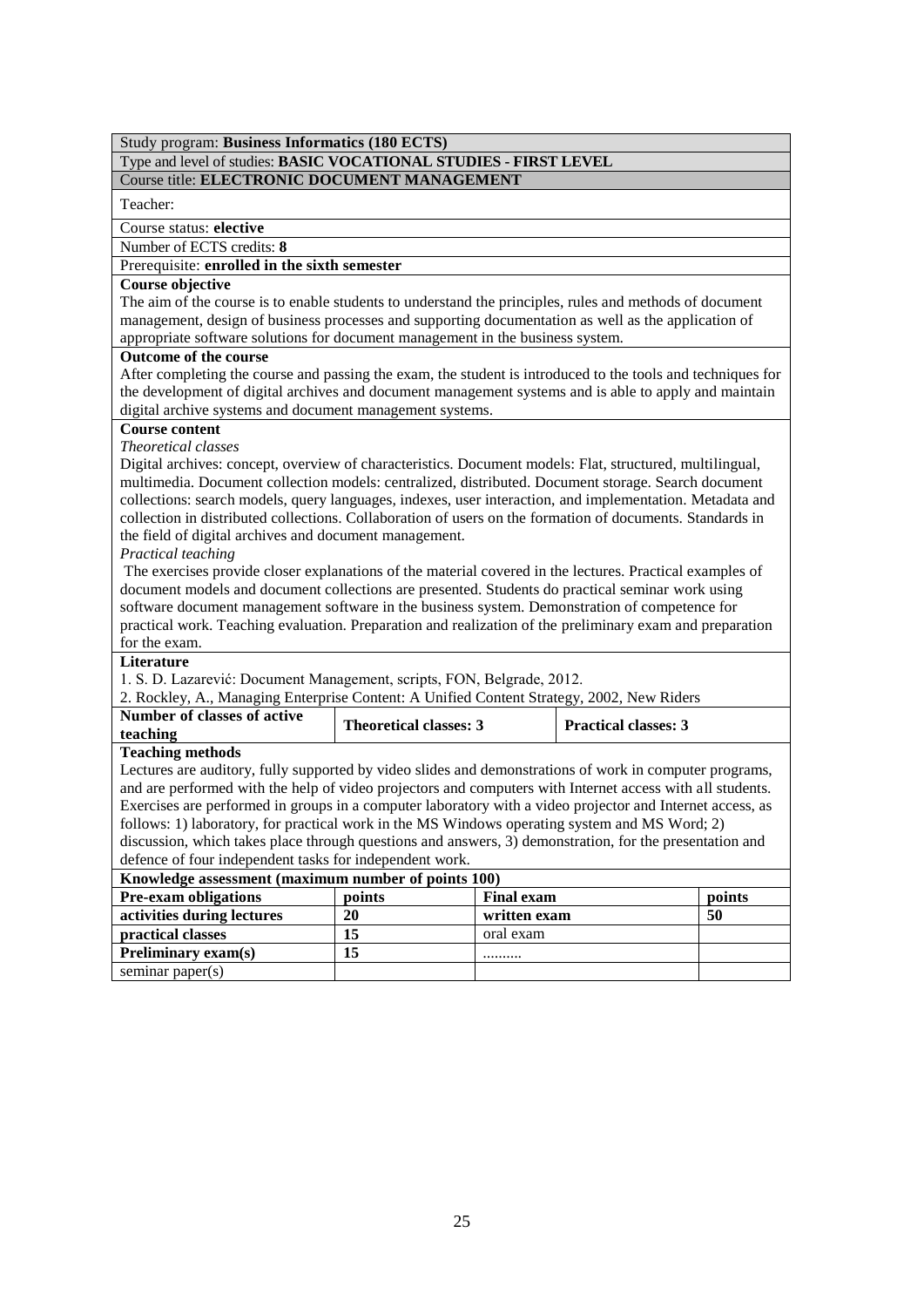## Study program: **Business Informatics (180 ECTS)** Type and level of studies: **BASIC VOCATIONAL STUDIES - FIRST LEVEL** Course title: **ELECTRONIC DOCUMENT MANAGEMENT**

Teacher:

Course status: **elective**

Number of ECTS credits: **8**

Prerequisite: **enrolled in the sixth semester**

## **Course objective**

The aim of the course is to enable students to understand the principles, rules and methods of document management, design of business processes and supporting documentation as well as the application of appropriate software solutions for document management in the business system.

## **Outcome of the course**

After completing the course and passing the exam, the student is introduced to the tools and techniques for the development of digital archives and document management systems and is able to apply and maintain digital archive systems and document management systems.

## **Course content**

## *Theoretical classes*

Digital archives: concept, overview of characteristics. Document models: Flat, structured, multilingual, multimedia. Document collection models: centralized, distributed. Document storage. Search document collections: search models, query languages, indexes, user interaction, and implementation. Metadata and collection in distributed collections. Collaboration of users on the formation of documents. Standards in the field of digital archives and document management.

## *Practical teaching*

The exercises provide closer explanations of the material covered in the lectures. Practical examples of document models and document collections are presented. Students do practical seminar work using software document management software in the business system. Demonstration of competence for practical work. Teaching evaluation. Preparation and realization of the preliminary exam and preparation for the exam.

## **Literature**

1. S. D. Lazarević: Document Management, scripts, FON, Belgrade, 2012.

2. Rockley, A., Managing Enterprise Content: A Unified Content Strategy, 2002, New Riders

| Number of classes of active<br>teaching | <b>Theoretical classes: 3</b> | <b>Practical classes: 3</b> |
|-----------------------------------------|-------------------------------|-----------------------------|
| <b>Teaching methods</b>                 |                               |                             |

Lectures are auditory, fully supported by video slides and demonstrations of work in computer programs, and are performed with the help of video projectors and computers with Internet access with all students. Exercises are performed in groups in a computer laboratory with a video projector and Internet access, as follows: 1) laboratory, for practical work in the MS Windows operating system and MS Word; 2) discussion, which takes place through questions and answers, 3) demonstration, for the presentation and

defence of four independent tasks for independent work. **Knowledge assessment (maximum number of points 100) Pre-exam obligations points Final exam points activities during lectures 20 written exam 50 practical classes 15** oral exam **Preliminary exam(s) 15** *..........* seminar paper(s)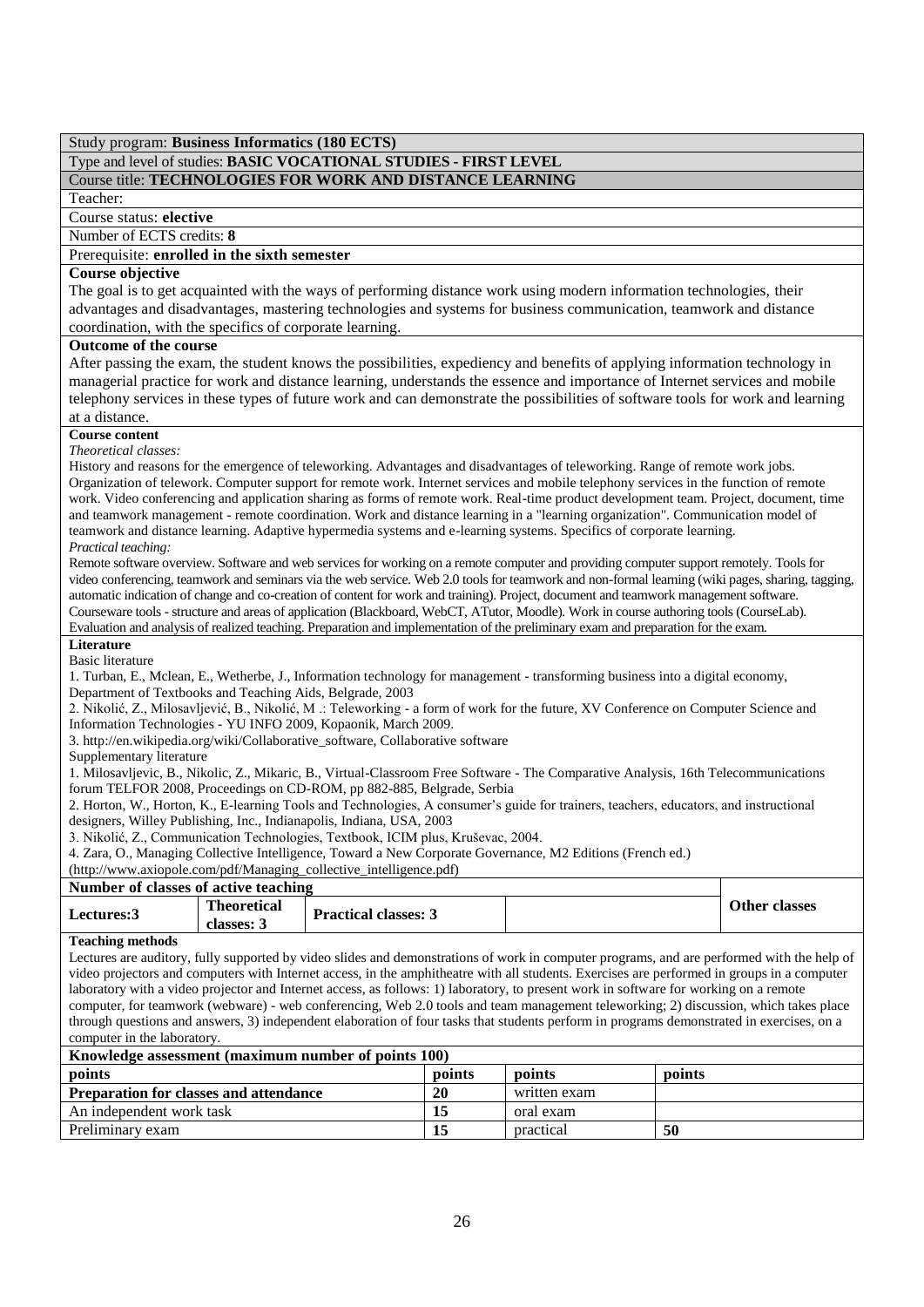## Type and level of studies: **BASIC VOCATIONAL STUDIES - FIRST LEVEL** Course title: **TECHNOLOGIES FOR WORK AND DISTANCE LEARNING**

## Teacher:

Course status: **elective**

Number of ECTS credits: **8**

Prerequisite: **enrolled in the sixth semester**

## **Course objective**

The goal is to get acquainted with the ways of performing distance work using modern information technologies, their advantages and disadvantages, mastering technologies and systems for business communication, teamwork and distance coordination, with the specifics of corporate learning.

#### **Outcome of the course**

After passing the exam, the student knows the possibilities, expediency and benefits of applying information technology in managerial practice for work and distance learning, understands the essence and importance of Internet services and mobile telephony services in these types of future work and can demonstrate the possibilities of software tools for work and learning

## at a distance.

**Course content** *Theoretical classes:*

History and reasons for the emergence of teleworking. Advantages and disadvantages of teleworking. Range of remote work jobs. Organization of telework. Computer support for remote work. Internet services and mobile telephony services in the function of remote work. Video conferencing and application sharing as forms of remote work. Real-time product development team. Project, document, time and teamwork management - remote coordination. Work and distance learning in a "learning organization". Communication model of teamwork and distance learning. Adaptive hypermedia systems and e-learning systems. Specifics of corporate learning. *Practical teaching:*

Remote software overview. Software and web services for working on a remote computer and providing computer support remotely. Tools for video conferencing, teamwork and seminars via the web service. Web 2.0 tools for teamwork and non-formal learning (wiki pages, sharing, tagging, automatic indication of change and co-creation of content for work and training). Project, document and teamwork management software. Courseware tools - structure and areas of application (Blackboard, WebCT, ATutor, Moodle). Work in course authoring tools (CourseLab). Evaluation and analysis of realized teaching. Preparation and implementation of the preliminary exam and preparation for the exam.

#### **Literature**

Basic literature

1. Turban, E., Mclean, E., Wetherbe, J., Information technology for management - transforming business into a digital economy, Department of Textbooks and Teaching Aids, Belgrade, 2003

2. Nikolić, Z., Milosavljević, B., Nikolić, M .: Teleworking - a form of work for the future, XV Conference on Computer Science and Information Technologies - YU INFO 2009, Kopaonik, March 2009.

3. http://en.wikipedia.org/wiki/Collaborative\_software, Collaborative software

Supplementary literature

1. Milosavljevic, B., Nikolic, Z., Mikaric, B., Virtual-Classroom Free Software - The Comparative Analysis, 16th Telecommunications forum TELFOR 2008, Proceedings on CD-ROM, pp 882-885, Belgrade, Serbia

2. Horton, W., Horton, K., E-learning Tools and Technologies, A consumer's guide for trainers, teachers, educators, and instructional designers, Willey Publishing, Inc., Indianapolis, Indiana, USA, 2003

3. Nikolić, Z., Communication Technologies, Textbook, ICIM plus, Kruševac, 2004.

4. Zara, O., Managing Collective Intelligence, Toward a New Corporate Governance, M2 Editions (French ed.)

(http://www.axiopole.com/pdf/Managing\_collective\_intelligence.pdf)

## **Number of classes of active teaching**

| <b>Lectures:3</b> | <b>Theoretical</b><br>classes: 5 | <b>Practical classes: 5</b> |  | <b>Other classes</b> |
|-------------------|----------------------------------|-----------------------------|--|----------------------|
| --<br>$\cdot$ .   |                                  |                             |  |                      |

#### **Teaching methods**

Lectures are auditory, fully supported by video slides and demonstrations of work in computer programs, and are performed with the help of video projectors and computers with Internet access, in the amphitheatre with all students. Exercises are performed in groups in a computer laboratory with a video projector and Internet access, as follows: 1) laboratory, to present work in software for working on a remote computer, for teamwork (webware) - web conferencing, Web 2.0 tools and team management teleworking; 2) discussion, which takes place through questions and answers, 3) independent elaboration of four tasks that students perform in programs demonstrated in exercises, on a computer in the laboratory.

| Knowledge assessment (maximum number of points 100) |    |              |     |  |  |
|-----------------------------------------------------|----|--------------|-----|--|--|
| points<br>points<br>points<br>points                |    |              |     |  |  |
| <b>Preparation for classes and attendance</b>       | 20 | written exam |     |  |  |
| An independent work task                            |    | oral exam    |     |  |  |
| Preliminary exam                                    |    | practical    | -50 |  |  |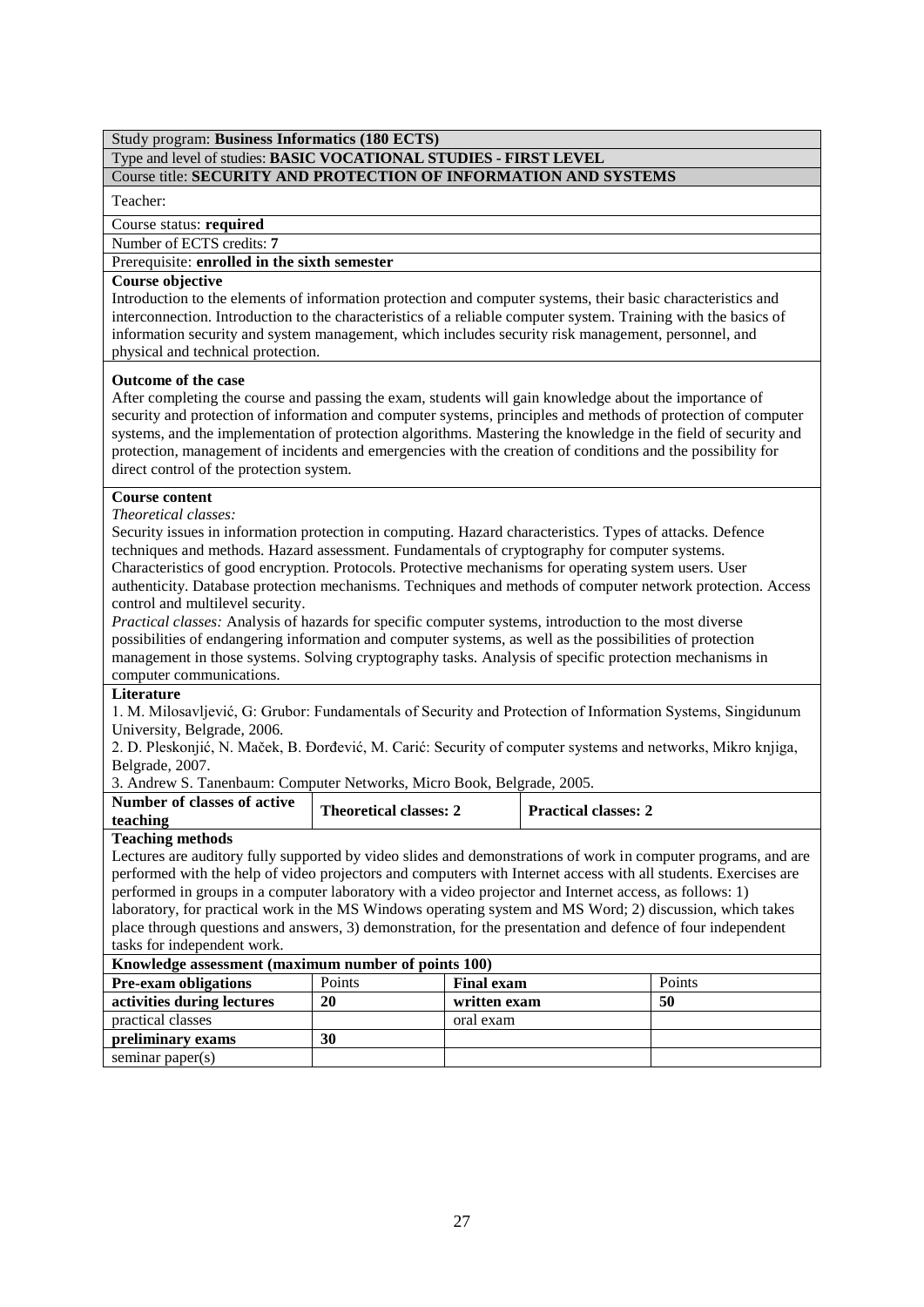# Type and level of studies: **BASIC VOCATIONAL STUDIES - FIRST LEVEL**

# Course title: **SECURITY AND PROTECTION OF INFORMATION AND SYSTEMS**

## Teacher:

Course status: **required**

## Number of ECTS credits: **7**

Prerequisite: **enrolled in the sixth semester**

## **Course objective**

Introduction to the elements of information protection and computer systems, their basic characteristics and interconnection. Introduction to the characteristics of a reliable computer system. Training with the basics of information security and system management, which includes security risk management, personnel, and physical and technical protection.

## **Outcome of the case**

After completing the course and passing the exam, students will gain knowledge about the importance of security and protection of information and computer systems, principles and methods of protection of computer systems, and the implementation of protection algorithms. Mastering the knowledge in the field of security and protection, management of incidents and emergencies with the creation of conditions and the possibility for direct control of the protection system.

## **Course content**

*Theoretical classes:* 

Security issues in information protection in computing. Hazard characteristics. Types of attacks. Defence techniques and methods. Hazard assessment. Fundamentals of cryptography for computer systems. Characteristics of good encryption. Protocols. Protective mechanisms for operating system users. User authenticity. Database protection mechanisms. Techniques and methods of computer network protection. Access

control and multilevel security.

*Practical classes:* Analysis of hazards for specific computer systems, introduction to the most diverse possibilities of endangering information and computer systems, as well as the possibilities of protection management in those systems. Solving cryptography tasks. Analysis of specific protection mechanisms in computer communications.

## **Literature**

1. М. Milosavljević, G: Grubor: Fundamentals of Security and Protection of Information Systems, Singidunum University, Belgrade, 2006.

2. D. Pleskonjić, N. Maček, B. Đorđević, М. Carić: Security of computer systems and networks, Mikro knjiga, Belgrade, 2007.

3. Andrew S. Tanenbaum: Computer Networks, Micro Book, Belgrade, 2005.

| Number of classes of active | <b>Theoretical classes: 2</b> | <b>Practical classes:</b> 2 |
|-----------------------------|-------------------------------|-----------------------------|
| teaching                    |                               |                             |
|                             |                               |                             |

## **Teaching methods**

Lectures are auditory fully supported by video slides and demonstrations of work in computer programs, and are performed with the help of video projectors and computers with Internet access with all students. Exercises are performed in groups in a computer laboratory with a video projector and Internet access, as follows: 1) laboratory, for practical work in the MS Windows operating system and MS Word; 2) discussion, which takes place through questions and answers, 3) demonstration, for the presentation and defence of four independent tasks for independent work.

| Knowledge assessment (maximum number of points 100) |        |                   |        |  |  |  |
|-----------------------------------------------------|--------|-------------------|--------|--|--|--|
| <b>Pre-exam obligations</b>                         | Points | <b>Final exam</b> | Points |  |  |  |
| activities during lectures                          | 20     | written exam      | 50     |  |  |  |
| practical classes                                   |        | oral exam         |        |  |  |  |
| preliminary exams                                   | 30     |                   |        |  |  |  |
| seminar paper $(s)$                                 |        |                   |        |  |  |  |